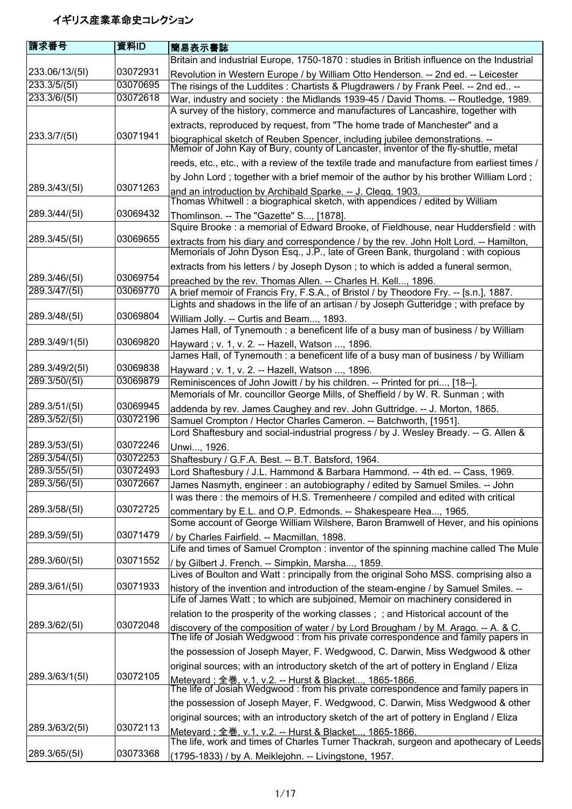| 請求番号           | 資料ID     | 簡易表示書誌                                                                                                                                                                   |
|----------------|----------|--------------------------------------------------------------------------------------------------------------------------------------------------------------------------|
|                |          | Britain and industrial Europe, 1750-1870 : studies in British influence on the Industrial                                                                                |
| 233.06/13/(51) | 03072931 | Revolution in Western Europe / by William Otto Henderson. -- 2nd ed. -- Leicester                                                                                        |
| 233.3/5/(51)   | 03070695 | The risings of the Luddites : Chartists & Plugdrawers / by Frank Peel. -- 2nd ed --                                                                                      |
| 233.3/6/(5I)   | 03072618 | War, industry and society: the Midlands 1939-45 / David Thoms. -- Routledge, 1989.<br>A survey of the history, commerce and manufactures of Lancashire, together with    |
|                |          | extracts, reproduced by request, from "The home trade of Manchester" and a                                                                                               |
| 233.3/7/(51)   | 03071941 | biographical sketch of Reuben Spencer, including jubilee demonstrations. --<br>Memoir of John Kay of Bury, county of Lancaster, inventor of the fly-shuttle, metal       |
|                |          | reeds, etc., etc., with a review of the textile trade and manufacture from earliest times /                                                                              |
|                |          | by John Lord; together with a brief memoir of the author by his brother William Lord;                                                                                    |
| 289.3/43/(5I)  | 03071263 | and an introduction by Archibald Sparke. -- J. Clegg. 1903.                                                                                                              |
| 289.3/44/(51)  | 03069432 | Thomas Whitwell: a biographical sketch, with appendices / edited by William                                                                                              |
|                |          | Thomlinson. -- The "Gazette" S, [1878].<br>Squire Brooke : a memorial of Edward Brooke, of Fieldhouse, near Huddersfield : with                                          |
| 289.3/45/(51)  | 03069655 | extracts from his diary and correspondence / by the rev. John Holt Lord. -- Hamilton,                                                                                    |
|                |          | Memorials of John Dyson Esq., J.P., late of Green Bank, thurgoland : with copious                                                                                        |
| 289.3/46/(5I)  | 03069754 | extracts from his letters / by Joseph Dyson; to which is added a funeral sermon,                                                                                         |
| 289.3/47/(51)  | 03069770 | preached by the rev. Thomas Allen. -- Charles H. Kell, 1896.<br>A brief memoir of Francis Fry, F.S.A., of Bristol / by Theodore Fry. -- [s.n.], 1887.                    |
|                |          | Lights and shadows in the life of an artisan / by Joseph Gutteridge; with preface by                                                                                     |
| 289.3/48/(51)  | 03069804 | William Jolly. -- Curtis and Beam, 1893.                                                                                                                                 |
|                |          | James Hall, of Tynemouth : a beneficent life of a busy man of business / by William                                                                                      |
| 289.3/49/1(5l) | 03069820 | Hayward; v. 1, v. 2. -- Hazell, Watson , 1896.                                                                                                                           |
|                |          | James Hall, of Tynemouth : a beneficent life of a busy man of business / by William                                                                                      |
| 289.3/49/2(51) | 03069838 | Hayward; v. 1, v. 2. -- Hazell, Watson , 1896.                                                                                                                           |
| 289.3/50/(51)  | 03069879 | Reminiscences of John Jowitt / by his children. -- Printed for pri, [18--].                                                                                              |
|                |          | Memorials of Mr. councillor George Mills, of Sheffield / by W. R. Sunman; with                                                                                           |
| 289.3/51/(5l)  | 03069945 | addenda by rev. James Caughey and rev. John Guttridge. -- J. Morton, 1865.                                                                                               |
| 289.3/52/(51)  | 03072196 | Samuel Crompton / Hector Charles Cameron. -- Batchworth, [1951].                                                                                                         |
| 289.3/53/(5I)  | 03072246 | Lord Shaftesbury and social-industrial progress / by J. Wesley Bready. -- G. Allen &                                                                                     |
| 289.3/54/(5I)  | 03072253 | Unwi, 1926.                                                                                                                                                              |
| 289.3/55/(5I)  | 03072493 | Shaftesbury / G.F.A. Best. -- B.T. Batsford, 1964.<br>Lord Shaftesbury / J.L. Hammond & Barbara Hammond. -- 4th ed. -- Cass, 1969.                                       |
| 289.3/56/(5I)  | 03072667 | James Nasmyth, engineer : an autobiography / edited by Samuel Smiles. -- John                                                                                            |
|                |          | I was there: the memoirs of H.S. Tremenheere / compiled and edited with critical                                                                                         |
| 289.3/58/(5I)  | 03072725 | commentary by E.L. and O.P. Edmonds. -- Shakespeare Hea, 1965.                                                                                                           |
|                |          | Some account of George William Wilshere, Baron Bramwell of Hever, and his opinions                                                                                       |
| 289.3/59/(5I)  | 03071479 | / by Charles Fairfield. -- Macmillan, 1898.                                                                                                                              |
|                |          | Life and times of Samuel Crompton : inventor of the spinning machine called The Mule                                                                                     |
| 289.3/60/(51)  | 03071552 | / by Gilbert J. French. -- Simpkin, Marsha, 1859.                                                                                                                        |
| 289.3/61/(5l)  | 03071933 | Lives of Boulton and Watt : principally from the original Soho MSS. comprising also a                                                                                    |
|                |          | history of the invention and introduction of the steam-engine / by Samuel Smiles. --<br>Life of James Watt; to which are subjoined, Memoir on machinery considered in    |
|                |          | relation to the prosperity of the working classes; ; and Historical account of the                                                                                       |
| 289.3/62/(5I)  | 03072048 | discovery of the composition of water / by Lord Brougham / by M. Arago. -- A. & C.<br>The life of Josiah Wedgwood : from his private correspondence and family papers in |
|                |          | the possession of Joseph Mayer, F. Wedgwood, C. Darwin, Miss Wedgwood & other                                                                                            |
|                |          | original sources; with an introductory sketch of the art of pottery in England / Eliza                                                                                   |
| 289.3/63/1(5I) | 03072105 | Metevard : 全巻. v.1. v.2. -- Hurst & Blacket 1865-1866.<br>The life of Josiah Wedgwood : from his private correspondence and family papers in                             |
|                |          | the possession of Joseph Mayer, F. Wedgwood, C. Darwin, Miss Wedgwood & other                                                                                            |
|                |          | original sources; with an introductory sketch of the art of pottery in England / Eliza                                                                                   |
| 289.3/63/2(51) | 03072113 | Metevard: 全巻. v.1. v.2. -- Hurst & Blacket 1865-1866.                                                                                                                    |
|                |          | The life, work and times of Charles Turner Thackrah, surgeon and apothecary of Leeds                                                                                     |
| 289.3/65/(5I)  | 03073368 | (1795-1833) / by A. Meiklejohn. -- Livingstone, 1957.                                                                                                                    |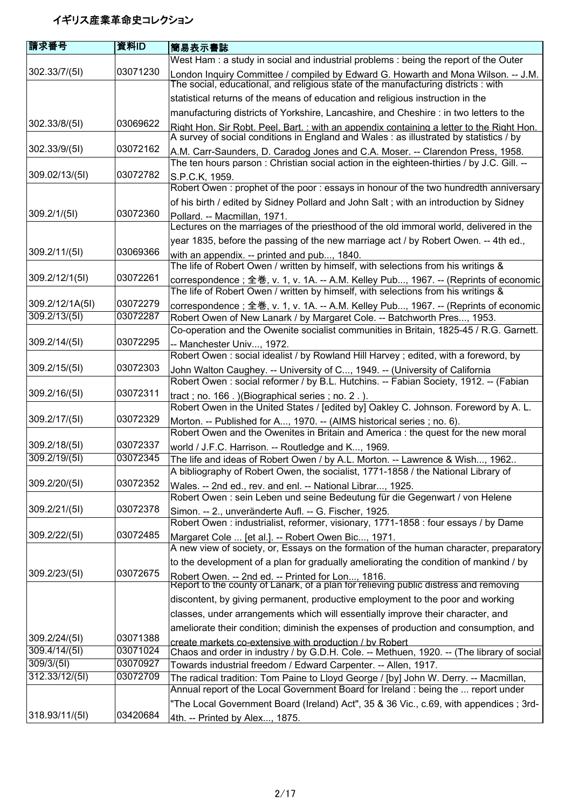| 請求番号            | 資料ID     | 簡易表示書誌                                                                                                                                                                             |
|-----------------|----------|------------------------------------------------------------------------------------------------------------------------------------------------------------------------------------|
|                 |          | West Ham: a study in social and industrial problems: being the report of the Outer                                                                                                 |
| 302.33/7/(5l)   | 03071230 | London Inquiry Committee / compiled by Edward G. Howarth and Mona Wilson. -- J.M.<br>The social, educational, and religious state of the manufacturing districts : with            |
|                 |          | statistical returns of the means of education and religious instruction in the                                                                                                     |
|                 |          | manufacturing districts of Yorkshire, Lancashire, and Cheshire : in two letters to the                                                                                             |
| 302.33/8/(5l)   | 03069622 | Right Hon. Sir Robt. Peel. Bart.: with an appendix containing a letter to the Right Hon.<br>A survey of social conditions in England and Wales : as illustrated by statistics / by |
| 302.33/9/(51)   | 03072162 | A.M. Carr-Saunders, D. Caradog Jones and C.A. Moser. -- Clarendon Press, 1958.<br>The ten hours parson: Christian social action in the eighteen-thirties / by J.C. Gill. --        |
| 309.02/13/(51)  | 03072782 | S.P.C.K, 1959.                                                                                                                                                                     |
|                 |          | Robert Owen: prophet of the poor: essays in honour of the two hundredth anniversary                                                                                                |
|                 |          | of his birth / edited by Sidney Pollard and John Salt; with an introduction by Sidney                                                                                              |
| 309.2/1/(51)    | 03072360 | Pollard. -- Macmillan, 1971.<br>Lectures on the marriages of the priesthood of the old immoral world, delivered in the                                                             |
|                 |          | year 1835, before the passing of the new marriage act / by Robert Owen. -- 4th ed.,                                                                                                |
| 309.2/11/(5l)   | 03069366 | with an appendix. -- printed and pub, 1840.                                                                                                                                        |
|                 |          | The life of Robert Owen / written by himself, with selections from his writings &                                                                                                  |
| 309.2/12/1(51)  | 03072261 | correspondence; 全巻, v. 1, v. 1A. -- A.M. Kelley Pub, 1967. -- (Reprints of economic<br>The life of Robert Owen / written by himself, with selections from his writings &           |
| 309.2/12/1A(5I) | 03072279 | correspondence; 全巻, v. 1, v. 1A. -- A.M. Kelley Pub, 1967. -- (Reprints of economic                                                                                                |
| 309.2/13/(51)   | 03072287 | Robert Owen of New Lanark / by Margaret Cole. -- Batchworth Pres, 1953.                                                                                                            |
|                 |          | Co-operation and the Owenite socialist communities in Britain, 1825-45 / R.G. Garnett.                                                                                             |
| 309.2/14/(5l)   | 03072295 | -- Manchester Univ, 1972.                                                                                                                                                          |
|                 |          | Robert Owen: social idealist / by Rowland Hill Harvey; edited, with a foreword, by                                                                                                 |
| 309.2/15/(5l)   | 03072303 | John Walton Caughey. -- University of C, 1949. -- (University of California<br>Robert Owen: social reformer / by B.L. Hutchins. -- Fabian Society, 1912. -- (Fabian                |
| 309.2/16/(5l)   | 03072311 |                                                                                                                                                                                    |
|                 |          | tract; no. 166.) (Biographical series; no. 2.).<br>Robert Owen in the United States / [edited by] Oakley C. Johnson. Foreword by A. L.                                             |
| 309.2/17/(5l)   | 03072329 | Morton. -- Published for A, 1970. -- (AIMS historical series; no. 6).<br>Robert Owen and the Owenites in Britain and America : the quest for the new moral                         |
| 309.2/18/(5l)   | 03072337 | world / J.F.C. Harrison. -- Routledge and K, 1969.                                                                                                                                 |
| 309.2/19/(51)   | 03072345 | The life and ideas of Robert Owen / by A.L. Morton. -- Lawrence & Wish, 1962                                                                                                       |
|                 |          | A bibliography of Robert Owen, the socialist, 1771-1858 / the National Library of                                                                                                  |
| 309.2/20/(5l)   | 03072352 | Wales. -- 2nd ed., rev. and enl. -- National Librar, 1925.                                                                                                                         |
|                 |          | Robert Owen : sein Leben und seine Bedeutung für die Gegenwart / von Helene                                                                                                        |
| 309.2/21/(5l)   | 03072378 | Simon. -- 2., unveränderte Aufl. -- G. Fischer, 1925.<br>Robert Owen: industrialist, reformer, visionary, 1771-1858: four essays / by Dame                                         |
| 309.2/22/(5l)   | 03072485 | Margaret Cole  [et al.]. -- Robert Owen Bic, 1971.<br>A new view of society, or, Essays on the formation of the human character, preparatory                                       |
|                 |          | to the development of a plan for gradually ameliorating the condition of mankind / by                                                                                              |
| 309.2/23/(5l)   | 03072675 | Robert Owen. -- 2nd ed. -- Printed for Lon, 1816.<br>Report to the county of Lanark, of a plan for relieving public distress and removing                                          |
|                 |          | discontent, by giving permanent, productive employment to the poor and working                                                                                                     |
|                 |          | classes, under arrangements which will essentially improve their character, and                                                                                                    |
|                 |          | ameliorate their condition; diminish the expenses of production and consumption, and                                                                                               |
| 309.2/24/(5l)   | 03071388 | create markets co-extensive with production / by Robert                                                                                                                            |
| 309.4/14/(5l)   | 03071024 | Chaos and order in industry / by G.D.H. Cole. -- Methuen, 1920. -- (The library of social                                                                                          |
| 309/3/(51)      | 03070927 | Towards industrial freedom / Edward Carpenter. -- Allen, 1917.                                                                                                                     |
| 312.33/12/(51)  | 03072709 | The radical tradition: Tom Paine to Lloyd George / [by] John W. Derry. -- Macmillan,<br>Annual report of the Local Government Board for Ireland : being the  report under          |
|                 |          | "The Local Government Board (Ireland) Act", 35 & 36 Vic., c.69, with appendices; 3rd-                                                                                              |
| 318.93/11/(5l)  | 03420684 | 4th. -- Printed by Alex, 1875.                                                                                                                                                     |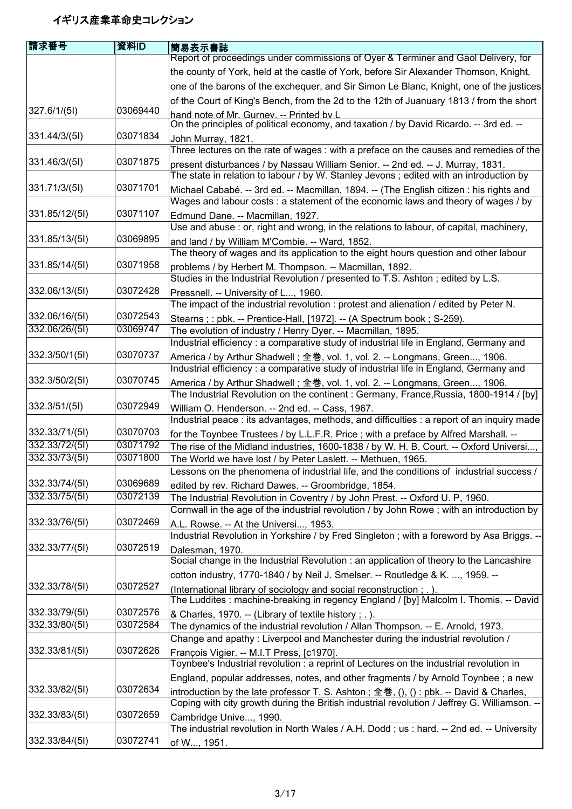| 請求番号                             | 資料ID                 | 簡易表示書誌                                                                                                                                                            |
|----------------------------------|----------------------|-------------------------------------------------------------------------------------------------------------------------------------------------------------------|
|                                  |                      | Report of proceedings under commissions of Oyer & Terminer and Gaol Delivery, for                                                                                 |
|                                  |                      | the county of York, held at the castle of York, before Sir Alexander Thomson, Knight,                                                                             |
|                                  |                      | one of the barons of the exchequer, and Sir Simon Le Blanc, Knight, one of the justices                                                                           |
|                                  |                      | of the Court of King's Bench, from the 2d to the 12th of Juanuary 1813 / from the short                                                                           |
| 327.6/1/(5l)                     | 03069440             | hand note of Mr. Gurney. -- Printed by L                                                                                                                          |
|                                  |                      | On the principles of political economy, and taxation / by David Ricardo. -- 3rd ed. --                                                                            |
| 331.44/3/(51)                    | 03071834             | John Murray, 1821.                                                                                                                                                |
|                                  |                      | Three lectures on the rate of wages : with a preface on the causes and remedies of the                                                                            |
| 331.46/3/(51)                    | 03071875             | present disturbances / by Nassau William Senior. -- 2nd ed. -- J. Murray, 1831.                                                                                   |
|                                  |                      | The state in relation to labour / by W. Stanley Jevons; edited with an introduction by                                                                            |
| 331.71/3/(5l)                    | 03071701             | Michael Cababé. -- 3rd ed. -- Macmillan, 1894. -- (The English citizen : his rights and                                                                           |
|                                  |                      | Wages and labour costs: a statement of the economic laws and theory of wages / by                                                                                 |
| 331.85/12/(5I)                   | 03071107             | Edmund Dane. -- Macmillan, 1927.                                                                                                                                  |
| 331.85/13/(5)                    | 03069895             | Use and abuse: or, right and wrong, in the relations to labour, of capital, machinery,                                                                            |
|                                  |                      | and land / by William M'Combie. -- Ward, 1852.<br>The theory of wages and its application to the eight hours question and other labour                            |
| 331.85/14/(5)                    | 03071958             |                                                                                                                                                                   |
|                                  |                      | problems / by Herbert M. Thompson. -- Macmillan, 1892.<br>Studies in the Industrial Revolution / presented to T.S. Ashton; edited by L.S.                         |
| 332.06/13/(5I)                   | 03072428             | Pressnell. -- University of L, 1960.                                                                                                                              |
|                                  |                      | The impact of the industrial revolution: protest and alienation / edited by Peter N.                                                                              |
| 332.06/16/(5I)                   | 03072543             | Stearns;: pbk. -- Prentice-Hall, [1972]. -- (A Spectrum book; S-259).                                                                                             |
| 332.06/26/(51)                   | 03069747             | The evolution of industry / Henry Dyer. -- Macmillan, 1895.                                                                                                       |
|                                  |                      | Industrial efficiency : a comparative study of industrial life in England, Germany and                                                                            |
| 332.3/50/1(51)                   | 03070737             | America / by Arthur Shadwell; 全巻, vol. 1, vol. 2. -- Longmans, Green, 1906.                                                                                       |
|                                  |                      | Industrial efficiency: a comparative study of industrial life in England, Germany and                                                                             |
| 332.3/50/2(51)                   | 03070745             | America / by Arthur Shadwell; 全巻, vol. 1, vol. 2. -- Longmans, Green, 1906.                                                                                       |
|                                  |                      | The Industrial Revolution on the continent : Germany, France, Russia, 1800-1914 / [by]                                                                            |
| 332.3/51/(5l)                    | 03072949             | William O. Henderson. -- 2nd ed. -- Cass, 1967.                                                                                                                   |
|                                  | 03070703             | Industrial peace : its advantages, methods, and difficulties : a report of an inquiry made                                                                        |
| 332.33/71/(5l)<br>332.33/72/(5I) | 03071792             | for the Toynbee Trustees / by L.L.F.R. Price; with a preface by Alfred Marshall. --                                                                               |
| 332.33/73/(5I)                   | 03071800             | The rise of the Midland industries, 1600-1838 / by W. H. B. Court. -- Oxford Universi,<br>The World we have lost / by Peter Laslett. -- Methuen, 1965.            |
|                                  |                      | Lessons on the phenomena of industrial life, and the conditions of industrial success /                                                                           |
| 332.33/74/(5I)                   | 03069689             | edited by rev. Richard Dawes. -- Groombridge, 1854.                                                                                                               |
| 332.33/75/(5I)                   | 03072139             | The Industrial Revolution in Coventry / by John Prest. -- Oxford U. P, 1960.                                                                                      |
|                                  |                      | Cornwall in the age of the industrial revolution / by John Rowe; with an introduction by                                                                          |
| 332.33/76/(5I)                   | 03072469             | A.L. Rowse. -- At the Universi, 1953.                                                                                                                             |
|                                  |                      | Industrial Revolution in Yorkshire / by Fred Singleton; with a foreword by Asa Briggs. --                                                                         |
| 332.33/77/(5I)                   | 03072519             | Dalesman, 1970.                                                                                                                                                   |
|                                  |                      | Social change in the Industrial Revolution : an application of theory to the Lancashire                                                                           |
|                                  |                      | cotton industry, 1770-1840 / by Neil J. Smelser. -- Routledge & K. , 1959. --                                                                                     |
| 332.33/78/(5I)                   | 03072527             | (International library of sociology and social reconstruction; .).                                                                                                |
|                                  |                      | The Luddites : machine-breaking in regency England / [by] Malcolm I. Thomis. -- David                                                                             |
| 332.33/79/(5I)<br>332.33/80/(5I) | 03072576<br>03072584 | & Charles, 1970. -- (Library of textile history ; .).                                                                                                             |
|                                  |                      | The dynamics of the industrial revolution / Allan Thompson. -- E. Arnold, 1973.<br>Change and apathy: Liverpool and Manchester during the industrial revolution / |
| 332.33/81/(5l)                   | 03072626             | François Vigier. -- M.I.T Press, [c1970].                                                                                                                         |
|                                  |                      | Toynbee's Industrial revolution : a reprint of Lectures on the industrial revolution in                                                                           |
|                                  |                      | England, popular addresses, notes, and other fragments / by Arnold Toynbee ; a new                                                                                |
| 332.33/82/(5I)                   | 03072634             | introduction by the late professor T. S. Ashton; 全巻, (), (): pbk. -- David & Charles,                                                                             |
|                                  |                      | Coping with city growth during the British industrial revolution / Jeffrey G. Williamson. --                                                                      |
| 332.33/83/(5I)                   | 03072659             | Cambridge Unive, 1990.                                                                                                                                            |
|                                  |                      | The industrial revolution in North Wales / A.H. Dodd; us: hard. -- 2nd ed. -- University                                                                          |
| 332.33/84/(5I)                   | 03072741             | of W, 1951.                                                                                                                                                       |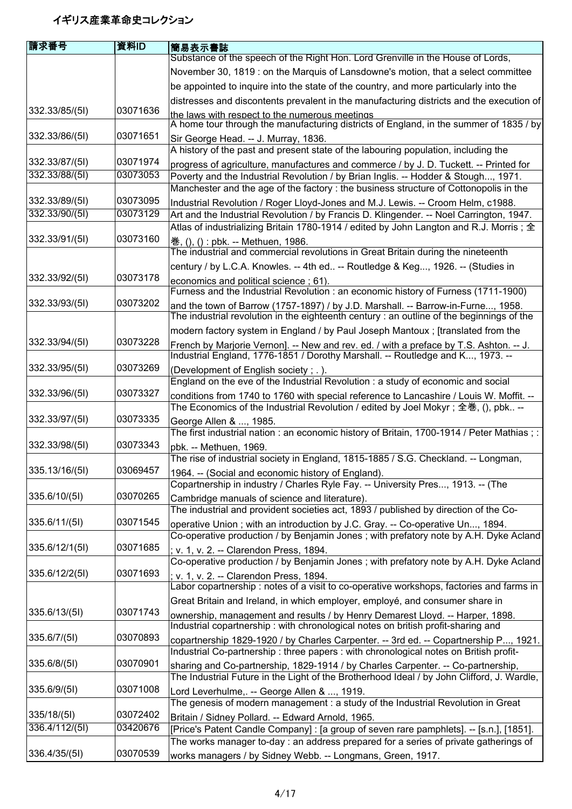| 請求番号           | 資料ID     | 簡易表示書誌                                                                                                               |
|----------------|----------|----------------------------------------------------------------------------------------------------------------------|
|                |          | Substance of the speech of the Right Hon. Lord Grenville in the House of Lords,                                      |
|                |          | November 30, 1819 : on the Marquis of Lansdowne's motion, that a select committee                                    |
|                |          | be appointed to inquire into the state of the country, and more particularly into the                                |
|                |          | distresses and discontents prevalent in the manufacturing districts and the execution of                             |
| 332.33/85/(5I) | 03071636 | the laws with respect to the numerous meetings                                                                       |
|                |          | A home tour through the manufacturing districts of England, in the summer of 1835 / by                               |
| 332.33/86/(5I) | 03071651 | Sir George Head. -- J. Murray, 1836.                                                                                 |
|                |          | A history of the past and present state of the labouring population, including the                                   |
| 332.33/87/(51) | 03071974 | progress of agriculture, manufactures and commerce / by J. D. Tuckett. -- Printed for                                |
| 332.33/88/(5I) | 03073053 | Poverty and the Industrial Revolution / by Brian Inglis. -- Hodder & Stough, 1971.                                   |
|                |          | Manchester and the age of the factory : the business structure of Cottonopolis in the                                |
| 332.33/89/(5I) | 03073095 | Industrial Revolution / Roger Lloyd-Jones and M.J. Lewis. -- Croom Helm, c1988.                                      |
| 332.33/90/(5I) | 03073129 | Art and the Industrial Revolution / by Francis D. Klingender. -- Noel Carrington, 1947.                              |
|                |          | Atlas of industrializing Britain 1780-1914 / edited by John Langton and R.J. Morris; $\pm$                           |
| 332.33/91/(5l) | 03073160 | 巻, (), () : pbk. -- Methuen, 1986.                                                                                   |
|                |          | The industrial and commercial revolutions in Great Britain during the nineteenth                                     |
|                |          | century / by L.C.A. Knowles. -- 4th ed -- Routledge & Keg, 1926. -- (Studies in                                      |
| 332.33/92/(51) | 03073178 | economics and political science; 61).                                                                                |
|                |          | Furness and the Industrial Revolution : an economic history of Furness (1711-1900)                                   |
| 332.33/93/(5I) | 03073202 | and the town of Barrow (1757-1897) / by J.D. Marshall. -- Barrow-in-Furne, 1958.                                     |
|                |          | The industrial revolution in the eighteenth century: an outline of the beginnings of the                             |
|                |          | modern factory system in England / by Paul Joseph Mantoux ; [translated from the                                     |
| 332.33/94/(5I) | 03073228 | French by Marjorie Vernon]. -- New and rev. ed. / with a preface by T.S. Ashton. -- J.                               |
|                |          | Industrial England, 1776-1851 / Dorothy Marshall. -- Routledge and K, 1973. --                                       |
| 332.33/95/(5I) | 03073269 | (Development of English society; .).                                                                                 |
|                | 03073327 | England on the eve of the Industrial Revolution : a study of economic and social                                     |
| 332.33/96/(51) |          | conditions from 1740 to 1760 with special reference to Lancashire / Louis W. Moffit. --                              |
| 332.33/97/(51) | 03073335 | The Economics of the Industrial Revolution / edited by Joel Mokyr; 全巻, (), pbk --                                    |
|                |          | George Allen & , 1985.<br>The first industrial nation: an economic history of Britain, 1700-1914 / Peter Mathias ; : |
| 332.33/98/(5I) | 03073343 | pbk. -- Methuen, 1969.                                                                                               |
|                |          | The rise of industrial society in England, 1815-1885 / S.G. Checkland. -- Longman,                                   |
| 335.13/16/(5I) | 03069457 | 1964. -- (Social and economic history of England).                                                                   |
|                |          | Copartnership in industry / Charles Ryle Fay. -- University Pres, 1913. -- (The                                      |
| 335.6/10/(5l)  | 03070265 | Cambridge manuals of science and literature).                                                                        |
|                |          | The industrial and provident societies act, 1893 / published by direction of the Co-                                 |
| 335.6/11/(5)   | 03071545 | operative Union; with an introduction by J.C. Gray. -- Co-operative Un, 1894.                                        |
|                |          | Co-operative production / by Benjamin Jones; with prefatory note by A.H. Dyke Acland                                 |
| 335.6/12/1(5)  | 03071685 | ; v. 1, v. 2. -- Clarendon Press, 1894.                                                                              |
|                |          | Co-operative production / by Benjamin Jones; with prefatory note by A.H. Dyke Acland                                 |
| 335.6/12/2(51) | 03071693 | ; v. 1, v. 2. -- Clarendon Press, 1894.                                                                              |
|                |          | Labor copartnership: notes of a visit to co-operative workshops, factories and farms in                              |
|                |          | Great Britain and Ireland, in which employer, employé, and consumer share in                                         |
| 335.6/13/(5)   | 03071743 | ownership, management and results / by Henry Demarest Lloyd. -- Harper, 1898.                                        |
|                |          | Industrial copartnership: with chronological notes on british profit-sharing and                                     |
| 335.6/7/(5)    | 03070893 | copartnership 1829-1920 / by Charles Carpenter. -- 3rd ed. -- Copartnership P, 1921.                                 |
|                |          | Industrial Co-partnership: three papers: with chronological notes on British profit-                                 |
| 335.6/8/(51)   | 03070901 | sharing and Co-partnership, 1829-1914 / by Charles Carpenter. -- Co-partnership,                                     |
|                |          | The Industrial Future in the Light of the Brotherhood Ideal / by John Clifford, J. Wardle,                           |
| 335.6/9/(5)    | 03071008 | Lord Leverhulme,. -- George Allen & , 1919.                                                                          |
|                |          | The genesis of modern management : a study of the Industrial Revolution in Great                                     |
| 335/18/(51)    | 03072402 | Britain / Sidney Pollard. -- Edward Arnold, 1965.                                                                    |
| 336.4/112/(5l) | 03420676 | [Price's Patent Candle Company] : [a group of seven rare pamphlets]. -- [s.n.], [1851].                              |
| 336.4/35/(5I)  | 03070539 | The works manager to-day : an address prepared for a series of private gatherings of                                 |
|                |          | works managers / by Sidney Webb. -- Longmans, Green, 1917.                                                           |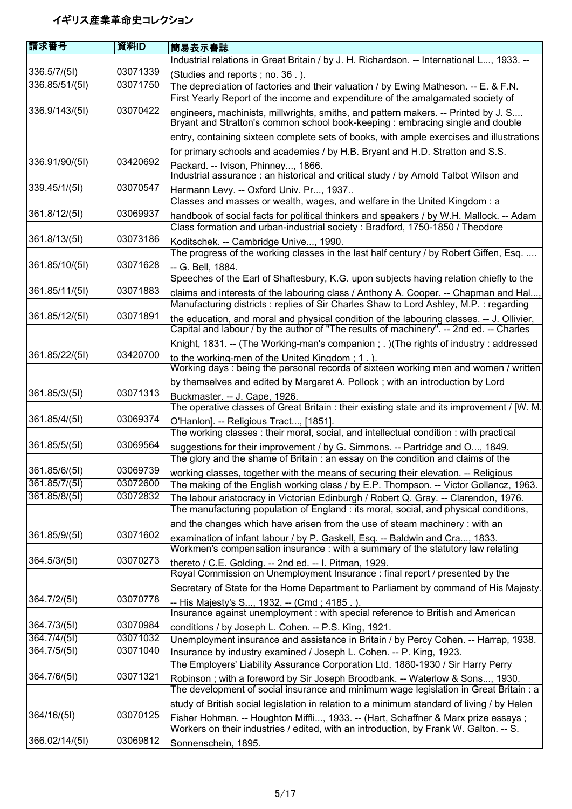| 請求番号           | 資料ID     | 簡易表示書誌                                                                                                                                                                               |
|----------------|----------|--------------------------------------------------------------------------------------------------------------------------------------------------------------------------------------|
|                |          | Industrial relations in Great Britain / by J. H. Richardson. -- International L, 1933. --                                                                                            |
| 336.5/7/(51)   | 03071339 | (Studies and reports; no. 36.).                                                                                                                                                      |
| 336.85/51/(5I) | 03071750 | The depreciation of factories and their valuation / by Ewing Matheson. -- E. & F.N.                                                                                                  |
|                |          | First Yearly Report of the income and expenditure of the amalgamated society of                                                                                                      |
| 336.9/143/(5I) | 03070422 |                                                                                                                                                                                      |
|                |          | engineers, machinists, millwrights, smiths, and pattern makers. -- Printed by J. S<br>Bryant and Stratton's common school book-keeping : embracing single and double                 |
|                |          | entry, containing sixteen complete sets of books, with ample exercises and illustrations                                                                                             |
|                |          | for primary schools and academies / by H.B. Bryant and H.D. Stratton and S.S.                                                                                                        |
| 336.91/90/(51) | 03420692 | Packard. -- Ivison, Phinney, 1866.                                                                                                                                                   |
|                |          | Industrial assurance : an historical and critical study / by Arnold Talbot Wilson and                                                                                                |
| 339.45/1/(5I)  | 03070547 | Hermann Levy. -- Oxford Univ. Pr, 1937                                                                                                                                               |
|                |          | Classes and masses or wealth, wages, and welfare in the United Kingdom: a                                                                                                            |
| 361.8/12/(5I)  | 03069937 | handbook of social facts for political thinkers and speakers / by W.H. Mallock. -- Adam                                                                                              |
|                |          | Class formation and urban-industrial society: Bradford, 1750-1850 / Theodore                                                                                                         |
| 361.8/13/(5I)  | 03073186 | Koditschek. -- Cambridge Unive, 1990.                                                                                                                                                |
|                |          | The progress of the working classes in the last half century / by Robert Giffen, Esq.                                                                                                |
| 361.85/10/(5I) | 03071628 | -- G. Bell, 1884.                                                                                                                                                                    |
| 361.85/11/(5I) | 03071883 | Speeches of the Earl of Shaftesbury, K.G. upon subjects having relation chiefly to the                                                                                               |
|                |          | claims and interests of the labouring class / Anthony A. Cooper. -- Chapman and Hal<br>Manufacturing districts: replies of Sir Charles Shaw to Lord Ashley, M.P.: regarding          |
| 361.85/12/(5I) | 03071891 | the education, and moral and physical condition of the labouring classes. -- J. Ollivier,<br>Capital and labour / by the author of "The results of machinery". -- 2nd ed. -- Charles |
|                |          | Knight, 1831. -- (The Working-man's companion ; . ) (The rights of industry : addressed                                                                                              |
| 361.85/22/(5I) | 03420700 | to the working-men of the United Kingdom; 1.).<br>Working days: being the personal records of sixteen working men and women / written                                                |
|                |          | by themselves and edited by Margaret A. Pollock; with an introduction by Lord                                                                                                        |
| 361.85/3/(5I)  | 03071313 | Buckmaster. -- J. Cape, 1926.                                                                                                                                                        |
|                |          | The operative classes of Great Britain: their existing state and its improvement / [W. M.                                                                                            |
| 361.85/4/(5I)  | 03069374 | O'Hanlon]. -- Religious Tract, [1851].                                                                                                                                               |
|                |          | The working classes: their moral, social, and intellectual condition: with practical                                                                                                 |
| 361.85/5/(5I)  | 03069564 | suggestions for their improvement / by G. Simmons. -- Partridge and O, 1849.<br>The glory and the shame of Britain: an essay on the condition and claims of the                      |
| 361.85/6/(5I)  | 03069739 | working classes, together with the means of securing their elevation. -- Religious                                                                                                   |
| 361.85/7/(5I)  | 03072600 | The making of the English working class / by E.P. Thompson. -- Victor Gollancz, 1963.                                                                                                |
| 361.85/8/(51)  | 03072832 | The labour aristocracy in Victorian Edinburgh / Robert Q. Gray. -- Clarendon, 1976.                                                                                                  |
|                |          | The manufacturing population of England : its moral, social, and physical conditions,                                                                                                |
|                |          | and the changes which have arisen from the use of steam machinery : with an                                                                                                          |
| 361.85/9/(5I)  | 03071602 | examination of infant labour / by P. Gaskell, Esq. -- Baldwin and Cra, 1833.                                                                                                         |
|                |          | Workmen's compensation insurance : with a summary of the statutory law relating                                                                                                      |
| 364.5/3/(51)   | 03070273 | thereto / C.E. Golding. -- 2nd ed. -- I. Pitman, 1929.                                                                                                                               |
|                |          | Royal Commission on Unemployment Insurance : final report / presented by the                                                                                                         |
|                |          | Secretary of State for the Home Department to Parliament by command of His Majesty.                                                                                                  |
| 364.7/2/(5I)   | 03070778 | -- His Majesty's S, 1932. -- (Cmd ; 4185 . ).                                                                                                                                        |
| 364.7/3/(5I)   | 03070984 | Insurance against unemployment : with special reference to British and American                                                                                                      |
| 364.7/4/(51)   | 03071032 | conditions / by Joseph L. Cohen. -- P.S. King, 1921.                                                                                                                                 |
| 364.7/5/(5I)   | 03071040 | Unemployment insurance and assistance in Britain / by Percy Cohen. -- Harrap, 1938.                                                                                                  |
|                |          | Insurance by industry examined / Joseph L. Cohen. -- P. King, 1923.<br>The Employers' Liability Assurance Corporation Ltd. 1880-1930 / Sir Harry Perry                               |
| 364.7/6/(5I)   | 03071321 |                                                                                                                                                                                      |
|                |          | Robinson; with a foreword by Sir Joseph Broodbank. -- Waterlow & Sons, 1930.<br>The development of social insurance and minimum wage legislation in Great Britain: a                 |
|                |          | study of British social legislation in relation to a minimum standard of living / by Helen                                                                                           |
| 364/16/(5l)    | 03070125 | Fisher Hohman. -- Houghton Miffli, 1933. -- (Hart, Schaffner & Marx prize essays;                                                                                                    |
|                |          | Workers on their industries / edited, with an introduction, by Frank W. Galton. -- S.                                                                                                |
| 366.02/14/(5I) | 03069812 | Sonnenschein, 1895.                                                                                                                                                                  |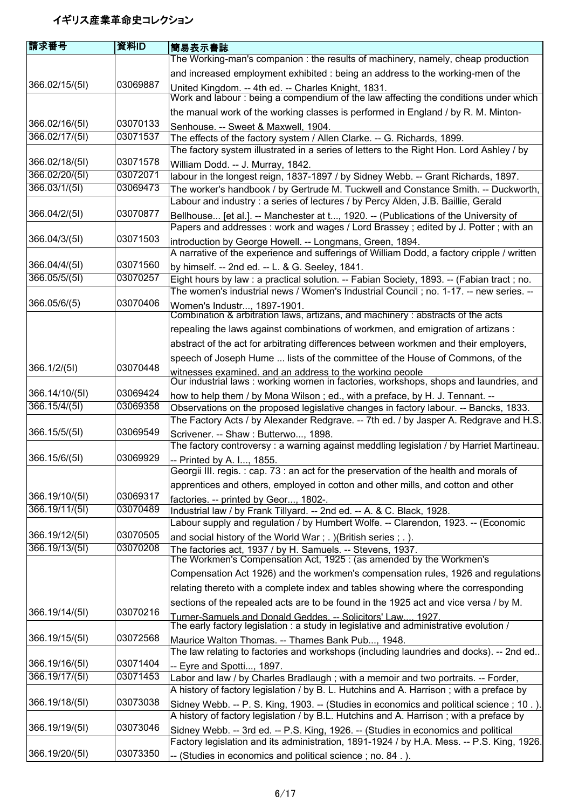| 請求番号           | 資料ID     | 簡易表示書誌                                                                                                                          |
|----------------|----------|---------------------------------------------------------------------------------------------------------------------------------|
|                |          | The Working-man's companion : the results of machinery, namely, cheap production                                                |
|                |          | and increased employment exhibited : being an address to the working-men of the                                                 |
| 366.02/15/(5I) | 03069887 | United Kingdom. -- 4th ed. -- Charles Knight, 1831.                                                                             |
|                |          | Work and labour: being a compendium of the law affecting the conditions under which                                             |
|                |          | the manual work of the working classes is performed in England / by R. M. Minton-                                               |
| 366.02/16/(5I) | 03070133 | Senhouse. -- Sweet & Maxwell, 1904.                                                                                             |
| 366.02/17/(5I) | 03071537 | The effects of the factory system / Allen Clarke. -- G. Richards, 1899.                                                         |
|                |          | The factory system illustrated in a series of letters to the Right Hon. Lord Ashley / by                                        |
| 366.02/18/(5I) | 03071578 | William Dodd. -- J. Murray, 1842.                                                                                               |
| 366.02/20/(5I) | 03072071 | labour in the longest reign, 1837-1897 / by Sidney Webb. -- Grant Richards, 1897.                                               |
| 366.03/1/(5l)  | 03069473 | The worker's handbook / by Gertrude M. Tuckwell and Constance Smith. -- Duckworth,                                              |
|                |          | Labour and industry: a series of lectures / by Percy Alden, J.B. Baillie, Gerald                                                |
| 366.04/2/(51)  | 03070877 | Bellhouse [et al.]. -- Manchester at t, 1920. -- (Publications of the University of                                             |
|                |          | Papers and addresses: work and wages / Lord Brassey; edited by J. Potter; with an                                               |
| 366.04/3/(5I)  | 03071503 | introduction by George Howell. -- Longmans, Green, 1894.                                                                        |
|                |          | A narrative of the experience and sufferings of William Dodd, a factory cripple / written                                       |
| 366.04/4/(5I)  | 03071560 | by himself. -- 2nd ed. -- L. & G. Seeley, 1841.                                                                                 |
| 366.05/5/(5I)  | 03070257 | Eight hours by law: a practical solution. -- Fabian Society, 1893. -- (Fabian tract; no.                                        |
|                |          | The women's industrial news / Women's Industrial Council; no. 1-17. -- new series. --                                           |
| 366.05/6/(5)   | 03070406 | Women's Industr, 1897-1901.                                                                                                     |
|                |          | Combination & arbitration laws, artizans, and machinery: abstracts of the acts                                                  |
|                |          | repealing the laws against combinations of workmen, and emigration of artizans :                                                |
|                |          | abstract of the act for arbitrating differences between workmen and their employers,                                            |
|                |          | speech of Joseph Hume  lists of the committee of the House of Commons, of the                                                   |
| 366.1/2/(5l)   | 03070448 | witnesses examined, and an address to the working people                                                                        |
|                |          | Our industrial laws: working women in factories, workshops, shops and laundries, and                                            |
| 366.14/10/(5I) | 03069424 | how to help them / by Mona Wilson; ed., with a preface, by H. J. Tennant. --                                                    |
| 366.15/4/(5I)  | 03069358 | Observations on the proposed legislative changes in factory labour. -- Bancks, 1833.                                            |
| 366.15/5/(5I)  | 03069549 | The Factory Acts / by Alexander Redgrave. -- 7th ed. / by Jasper A. Redgrave and H.S.                                           |
|                |          | Scrivener. -- Shaw: Butterwo, 1898.<br>The factory controversy : a warning against meddling legislation / by Harriet Martineau. |
| 366.15/6/(5I)  | 03069929 |                                                                                                                                 |
|                |          | -- Printed by A. I, 1855.<br>Georgii III. regis. : cap. 73 : an act for the preservation of the health and morals of            |
|                |          | apprentices and others, employed in cotton and other mills, and cotton and other                                                |
| 366.19/10/(5I) | 03069317 | factories. -- printed by Geor, 1802-.                                                                                           |
| 366.19/11/(5I) | 03070489 | Industrial law / by Frank Tillyard. -- 2nd ed. -- A. & C. Black, 1928.                                                          |
|                |          | Labour supply and regulation / by Humbert Wolfe. -- Clarendon, 1923. -- (Economic                                               |
| 366.19/12/(5I) | 03070505 | and social history of the World War; . )(British series; . ).                                                                   |
| 366.19/13/(5I) | 03070208 | The factories act, 1937 / by H. Samuels. -- Stevens, 1937.                                                                      |
|                |          | The Workmen's Compensation Act, 1925 : (as amended by the Workmen's                                                             |
|                |          | Compensation Act 1926) and the workmen's compensation rules, 1926 and regulations                                               |
|                |          | relating thereto with a complete index and tables showing where the corresponding                                               |
|                |          | sections of the repealed acts are to be found in the 1925 act and vice versa / by M.                                            |
| 366.19/14/(5I) | 03070216 | Turner-Samuels and Donald Geddes. -- Solicitors' Law 1927.                                                                      |
|                |          | The early factory legislation : a study in legislative and administrative evolution /                                           |
| 366.19/15/(5I) | 03072568 | Maurice Walton Thomas. -- Thames Bank Pub, 1948.                                                                                |
|                |          | The law relating to factories and workshops (including laundries and docks). -- 2nd ed                                          |
| 366.19/16/(5I) | 03071404 | -- Eyre and Spotti, 1897.                                                                                                       |
| 366.19/17/(5I) | 03071453 | Labor and law / by Charles Bradlaugh; with a memoir and two portraits. -- Forder,                                               |
|                |          | A history of factory legislation / by B. L. Hutchins and A. Harrison; with a preface by                                         |
| 366.19/18/(5I) | 03073038 | Sidney Webb. -- P. S. King, 1903. -- (Studies in economics and political science; 10.).                                         |
|                |          | A history of factory legislation / by B.L. Hutchins and A. Harrison; with a preface by                                          |
| 366.19/19/(5I) | 03073046 | Sidney Webb. -- 3rd ed. -- P.S. King, 1926. -- (Studies in economics and political                                              |
|                |          | Factory legislation and its administration, 1891-1924 / by H.A. Mess. -- P.S. King, 1926.                                       |
| 366.19/20/(51) | 03073350 | -- (Studies in economics and political science; no. 84.).                                                                       |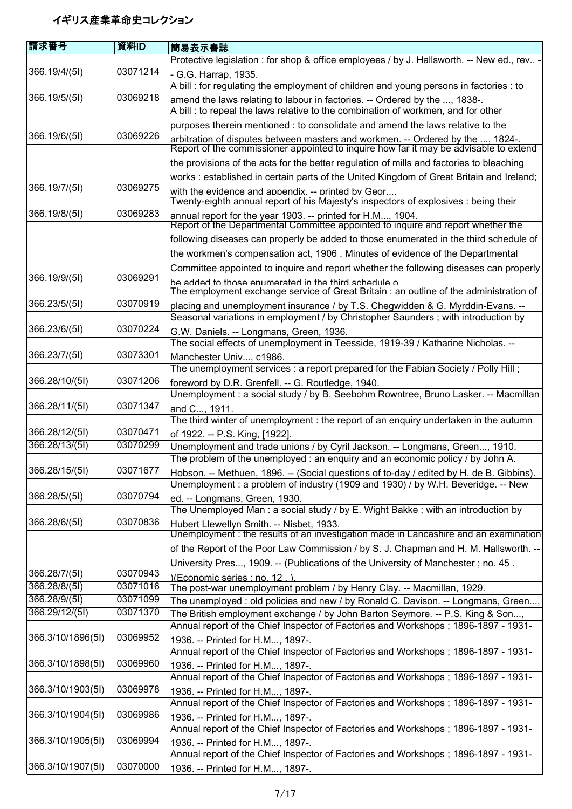| 請求番号              | 資料ID     | 簡易表示書誌                                                                                                                                                                   |
|-------------------|----------|--------------------------------------------------------------------------------------------------------------------------------------------------------------------------|
|                   |          | Protective legislation : for shop & office employees / by J. Hallsworth. -- New ed., rev -                                                                               |
| 366.19/4/(5l)     | 03071214 | - G.G. Harrap, 1935.                                                                                                                                                     |
|                   |          | A bill : for regulating the employment of children and young persons in factories : to                                                                                   |
| 366.19/5/(5I)     | 03069218 | amend the laws relating to labour in factories. -- Ordered by the , 1838-.                                                                                               |
|                   |          | A bill : to repeal the laws relative to the combination of workmen, and for other                                                                                        |
|                   |          | purposes therein mentioned : to consolidate and amend the laws relative to the                                                                                           |
| 366.19/6/(5l)     | 03069226 | arbitration of disputes between masters and workmen. -- Ordered by the , 1824-.<br>Report of the commissioner appointed to inquire how far it may be advisable to extend |
|                   |          | the provisions of the acts for the better regulation of mills and factories to bleaching                                                                                 |
|                   |          | works: established in certain parts of the United Kingdom of Great Britain and Ireland;                                                                                  |
| 366.19/7/(5l)     | 03069275 | with the evidence and appendix. -- printed by Geor.                                                                                                                      |
| 366.19/8/(5I)     | 03069283 | Twenty-eighth annual report of his Majesty's inspectors of explosives : being their                                                                                      |
|                   |          | annual report for the year 1903. -- printed for H.M, 1904.<br>Report of the Departmental Committee appointed to inquire and report whether the                           |
|                   |          | following diseases can properly be added to those enumerated in the third schedule of                                                                                    |
|                   |          | the workmen's compensation act, 1906. Minutes of evidence of the Departmental                                                                                            |
|                   |          | Committee appointed to inquire and report whether the following diseases can properly                                                                                    |
| 366.19/9/(5l)     | 03069291 | be added to those enumerated in the third schedule o                                                                                                                     |
|                   |          | The employment exchange service of Great Britain : an outline of the administration of                                                                                   |
| 366.23/5/(5l)     | 03070919 | placing and unemployment insurance / by T.S. Chegwidden & G. Myrddin-Evans. --                                                                                           |
|                   |          | Seasonal variations in employment / by Christopher Saunders; with introduction by                                                                                        |
| 366.23/6/(5I)     | 03070224 | G.W. Daniels. -- Longmans, Green, 1936.                                                                                                                                  |
|                   |          | The social effects of unemployment in Teesside, 1919-39 / Katharine Nicholas. --                                                                                         |
| 366.23/7/(5l)     | 03073301 | Manchester Univ, c1986.                                                                                                                                                  |
|                   |          | The unemployment services : a report prepared for the Fabian Society / Polly Hill;                                                                                       |
| 366.28/10/(51)    | 03071206 | foreword by D.R. Grenfell. -- G. Routledge, 1940.                                                                                                                        |
|                   | 03071347 | Unemployment : a social study / by B. Seebohm Rowntree, Bruno Lasker. -- Macmillan                                                                                       |
| 366.28/11/(5l)    |          | and C, 1911.                                                                                                                                                             |
| 366.28/12/(51)    | 03070471 | The third winter of unemployment : the report of an enquiry undertaken in the autumn                                                                                     |
| 366.28/13/(51)    | 03070299 | of 1922. -- P.S. King, [1922].<br>Unemployment and trade unions / by Cyril Jackson. -- Longmans, Green, 1910.                                                            |
|                   |          | The problem of the unemployed : an enquiry and an economic policy / by John A.                                                                                           |
| 366.28/15/(5I)    | 03071677 | Hobson. -- Methuen, 1896. -- (Social questions of to-day / edited by H. de B. Gibbins).                                                                                  |
|                   |          | Unemployment: a problem of industry (1909 and 1930) / by W.H. Beveridge. -- New                                                                                          |
| 366.28/5/(5I)     | 03070794 | ed. -- Longmans, Green, 1930.                                                                                                                                            |
|                   |          | The Unemployed Man: a social study / by E. Wight Bakke; with an introduction by                                                                                          |
| 366.28/6/(5I)     | 03070836 | Hubert Llewellyn Smith. -- Nisbet, 1933.                                                                                                                                 |
|                   |          | Unemployment : the results of an investigation made in Lancashire and an examination                                                                                     |
|                   |          | of the Report of the Poor Law Commission / by S. J. Chapman and H. M. Hallsworth. --                                                                                     |
|                   |          | University Pres, 1909. -- (Publications of the University of Manchester; no. 45.                                                                                         |
| 366.28/7/(5l)     | 03070943 | )(Economic series : no. 12.).                                                                                                                                            |
| 366.28/8/(51)     | 03071016 | The post-war unemployment problem / by Henry Clay. -- Macmillan, 1929.                                                                                                   |
| 366.28/9/(51)     | 03071099 | The unemployed : old policies and new / by Ronald C. Davison. -- Longmans, Green,                                                                                        |
| 366.29/12/(51)    | 03071370 | The British employment exchange / by John Barton Seymore. -- P.S. King & Son,                                                                                            |
|                   |          | Annual report of the Chief Inspector of Factories and Workshops; 1896-1897 - 1931-                                                                                       |
| 366.3/10/1896(5I) | 03069952 | 1936. -- Printed for H.M, 1897-.                                                                                                                                         |
|                   |          | Annual report of the Chief Inspector of Factories and Workshops; 1896-1897 - 1931-                                                                                       |
| 366.3/10/1898(5I) | 03069960 | 1936. -- Printed for H.M, 1897-.                                                                                                                                         |
|                   |          | Annual report of the Chief Inspector of Factories and Workshops; 1896-1897 - 1931-                                                                                       |
| 366.3/10/1903(51) | 03069978 | 1936. -- Printed for H.M, 1897-.                                                                                                                                         |
|                   | 03069986 | Annual report of the Chief Inspector of Factories and Workshops; 1896-1897 - 1931-                                                                                       |
| 366.3/10/1904(5l) |          | 1936. -- Printed for H.M, 1897-.                                                                                                                                         |
| 366.3/10/1905(5I) | 03069994 | Annual report of the Chief Inspector of Factories and Workshops; 1896-1897 - 1931-                                                                                       |
|                   |          | 1936. -- Printed for H.M, 1897-.<br>Annual report of the Chief Inspector of Factories and Workshops; 1896-1897 - 1931-                                                   |
| 366.3/10/1907(51) | 03070000 |                                                                                                                                                                          |
|                   |          | 1936. -- Printed for H.M, 1897-.                                                                                                                                         |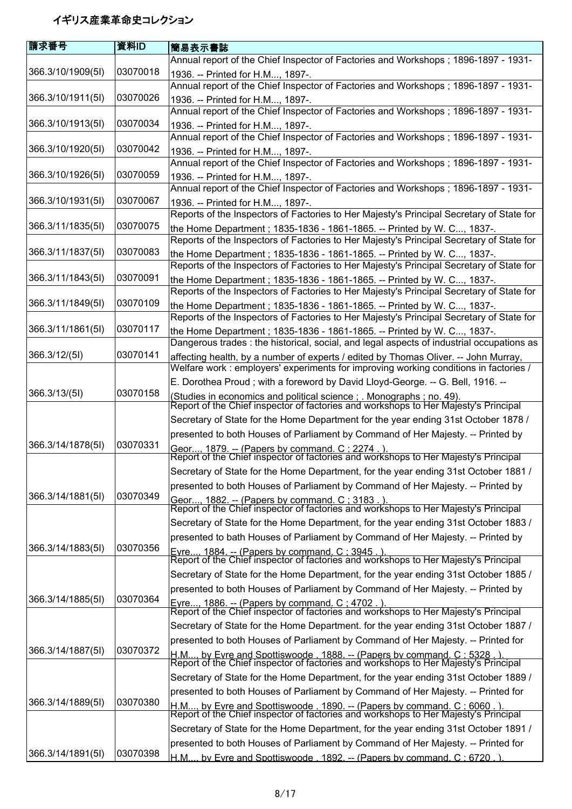| 請求番号              | 資料ID     | 簡易表示書誌                                                                                                                                                            |
|-------------------|----------|-------------------------------------------------------------------------------------------------------------------------------------------------------------------|
|                   |          | Annual report of the Chief Inspector of Factories and Workshops; 1896-1897 - 1931-                                                                                |
| 366.3/10/1909(5I) | 03070018 | 1936. -- Printed for H.M, 1897-.                                                                                                                                  |
|                   |          | Annual report of the Chief Inspector of Factories and Workshops; 1896-1897 - 1931-                                                                                |
| 366.3/10/1911(5l) | 03070026 | 1936. -- Printed for H.M, 1897-.                                                                                                                                  |
|                   |          | Annual report of the Chief Inspector of Factories and Workshops; 1896-1897 - 1931-                                                                                |
| 366.3/10/1913(5I) | 03070034 | 1936. -- Printed for H.M, 1897-.                                                                                                                                  |
|                   |          | Annual report of the Chief Inspector of Factories and Workshops; 1896-1897 - 1931-                                                                                |
| 366.3/10/1920(5I) | 03070042 | 1936. -- Printed for H.M, 1897-.                                                                                                                                  |
| 366.3/10/1926(5I) | 03070059 | Annual report of the Chief Inspector of Factories and Workshops; 1896-1897 - 1931-                                                                                |
|                   |          | 1936. -- Printed for H.M, 1897-.<br>Annual report of the Chief Inspector of Factories and Workshops; 1896-1897 - 1931-                                            |
| 366.3/10/1931(5I) | 03070067 | 1936. -- Printed for H.M, 1897-.                                                                                                                                  |
|                   |          | Reports of the Inspectors of Factories to Her Majesty's Principal Secretary of State for                                                                          |
| 366.3/11/1835(5I) | 03070075 | the Home Department; 1835-1836 - 1861-1865. -- Printed by W. C, 1837-.                                                                                            |
|                   |          | Reports of the Inspectors of Factories to Her Majesty's Principal Secretary of State for                                                                          |
| 366.3/11/1837(5I) | 03070083 | the Home Department; 1835-1836 - 1861-1865. -- Printed by W. C, 1837-.                                                                                            |
|                   |          | Reports of the Inspectors of Factories to Her Majesty's Principal Secretary of State for                                                                          |
| 366.3/11/1843(5I) | 03070091 | the Home Department; 1835-1836 - 1861-1865. -- Printed by W. C, 1837-.                                                                                            |
|                   |          | Reports of the Inspectors of Factories to Her Majesty's Principal Secretary of State for                                                                          |
| 366.3/11/1849(5I) | 03070109 | the Home Department; 1835-1836 - 1861-1865. -- Printed by W. C, 1837-.                                                                                            |
|                   |          | Reports of the Inspectors of Factories to Her Majesty's Principal Secretary of State for                                                                          |
| 366.3/11/1861(5I) | 03070117 | the Home Department; 1835-1836 - 1861-1865. -- Printed by W. C, 1837-.                                                                                            |
|                   |          | Dangerous trades: the historical, social, and legal aspects of industrial occupations as                                                                          |
| 366.3/12/(5l)     | 03070141 | affecting health, by a number of experts / edited by Thomas Oliver. -- John Murray,                                                                               |
|                   |          | Welfare work : employers' experiments for improving working conditions in factories /                                                                             |
| 366.3/13/(51)     | 03070158 | E. Dorothea Proud; with a foreword by David Lloyd-George. -- G. Bell, 1916. --                                                                                    |
|                   |          | (Studies in economics and political science ; . Monographs ; no. 49).<br>Report of the Chief inspector of factories and workshops to Her Majesty's Principal      |
|                   |          | Secretary of State for the Home Department for the year ending 31st October 1878 /                                                                                |
|                   |          | presented to both Houses of Parliament by Command of Her Majesty. -- Printed by                                                                                   |
| 366.3/14/1878(5I) | 03070331 |                                                                                                                                                                   |
|                   |          | Geor 1879. -- (Papers by command. C : 2274 . ).<br>Report of the Chief inspector of factories and workshops to Her Majesty's Principal                            |
|                   |          | Secretary of State for the Home Department, for the year ending 31st October 1881 /                                                                               |
|                   |          | presented to both Houses of Parliament by Command of Her Majesty. -- Printed by                                                                                   |
| 366.3/14/1881(5I) | 03070349 | Geor, 1882. -- (Papers by command. C ; 3183 . ).<br>Report of the Chief inspector of factories and workshops to Her Majesty's Principal                           |
|                   |          |                                                                                                                                                                   |
|                   |          | Secretary of State for the Home Department, for the year ending 31st October 1883 /                                                                               |
|                   |          | presented to bath Houses of Parliament by Command of Her Majesty. -- Printed by                                                                                   |
| 366.3/14/1883(5I) | 03070356 | Evre, 1884. -- (Papers by command. C : 3945 . ).<br>Report of the Chief inspector of factories and workshops to Her Majesty's Principal                           |
|                   |          |                                                                                                                                                                   |
|                   |          | Secretary of State for the Home Department, for the year ending 31st October 1885 /                                                                               |
| 366.3/14/1885(51) | 03070364 | presented to both Houses of Parliament by Command of Her Majesty. -- Printed by                                                                                   |
|                   |          | Eyre, 1886. -- (Papers by command. C : 4702 . ).<br>Report of the Chief inspector of factories and workshops to Her Majesty's Principal                           |
|                   |          | Secretary of State for the Home Department. for the year ending 31st October 1887 /                                                                               |
|                   |          | presented to both Houses of Parliament by Command of Her Majesty. -- Printed for                                                                                  |
| 366.3/14/1887(5I) | 03070372 |                                                                                                                                                                   |
|                   |          | H.M, by Evre and Spottiswoode , 1888. -- (Papers by command. C ; 5328 . ).<br>Report of the Chief inspector of factories and workshops to Her Majesty's Principal |
|                   |          | Secretary of State for the Home Department, for the year ending 31st October 1889 /                                                                               |
|                   |          | presented to both Houses of Parliament by Command of Her Majesty. -- Printed for                                                                                  |
| 366.3/14/1889(5I) | 03070380 | H.M, by Evre and Spottiswoode , 1890. -- (Papers by command. C ; 6060 . ).<br>Report of the Chief inspector of factories and workshops to Her Majesty's Principal |
|                   |          |                                                                                                                                                                   |
|                   |          | Secretary of State for the Home Department, for the year ending 31st October 1891 /                                                                               |
|                   |          | presented to both Houses of Parliament by Command of Her Majesty. -- Printed for                                                                                  |
| 366.3/14/1891(5I) | 03070398 | H.M by Evre and Spottiswoode . 1892. -- (Papers by command. C: 6720.)                                                                                             |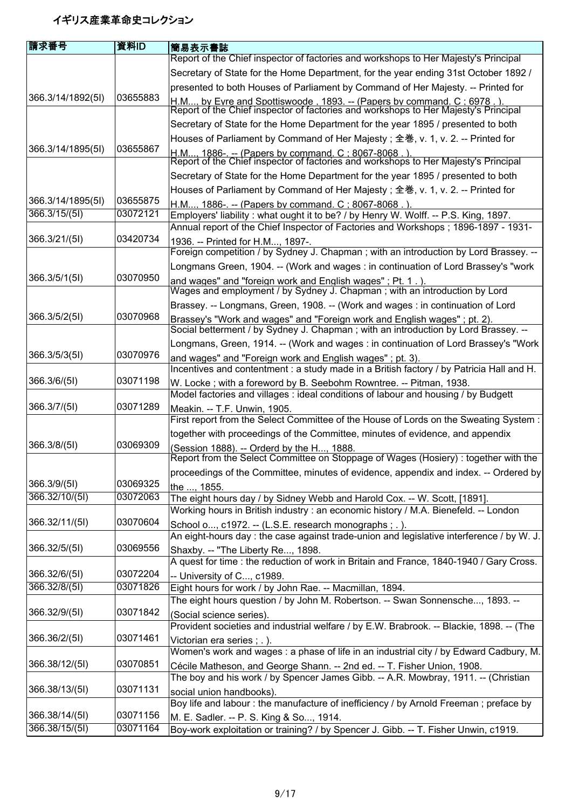| 請求番号              | 資料ID                 | 簡易表示書誌                                                                                                                                                                    |
|-------------------|----------------------|---------------------------------------------------------------------------------------------------------------------------------------------------------------------------|
|                   |                      | Report of the Chief inspector of factories and workshops to Her Majesty's Principal                                                                                       |
|                   |                      | Secretary of State for the Home Department, for the year ending 31st October 1892 /                                                                                       |
|                   |                      | presented to both Houses of Parliament by Command of Her Majesty. -- Printed for                                                                                          |
| 366.3/14/1892(51) | 03655883             | H.M by Evre and Spottiswoode . 1893. -- (Papers by command. C : 6978 . ).<br>Report of the Chief inspector of factories and workshops to Her Majesty's Principal          |
|                   |                      | Secretary of State for the Home Department for the year 1895 / presented to both                                                                                          |
|                   |                      | Houses of Parliament by Command of Her Majesty; 全巻, v. 1, v. 2. -- Printed for                                                                                            |
| 366.3/14/1895(5I) | 03655867             | H.M 1886-. -- (Papers by command. C : 8067-8068 . ).<br>Report of the Chief inspector of factories and workshops to Her Majesty's Principal                               |
|                   |                      |                                                                                                                                                                           |
|                   |                      | Secretary of State for the Home Department for the year 1895 / presented to both                                                                                          |
|                   |                      | Houses of Parliament by Command of Her Majesty; 全巻, v. 1, v. 2. -- Printed for                                                                                            |
| 366.3/14/1895(5I) | 03655875<br>03072121 | H.M, 1886-. -- (Papers by command. C : 8067-8068.)                                                                                                                        |
| 366.3/15/(51)     |                      | Employers' liability: what ought it to be? / by Henry W. Wolff. -- P.S. King, 1897.<br>Annual report of the Chief Inspector of Factories and Workshops; 1896-1897 - 1931- |
| 366.3/21/(5l)     | 03420734             |                                                                                                                                                                           |
|                   |                      | 1936. -- Printed for H.M, 1897-.<br>Foreign competition / by Sydney J. Chapman; with an introduction by Lord Brassey. --                                                  |
|                   |                      | Longmans Green, 1904. -- (Work and wages : in continuation of Lord Brassey's "work                                                                                        |
| 366.3/5/1(5l)     | 03070950             | and wages" and "foreign work and English wages"; Pt. 1.)                                                                                                                  |
|                   |                      | Wages and employment / by Sydney J. Chapman; with an introduction by Lord                                                                                                 |
|                   |                      | Brassey. -- Longmans, Green, 1908. -- (Work and wages: in continuation of Lord                                                                                            |
| 366.3/5/2(5I)     | 03070968             | Brassey's "Work and wages" and "Foreign work and English wages"; pt. 2).                                                                                                  |
|                   |                      | Social betterment / by Sydney J. Chapman; with an introduction by Lord Brassey. --                                                                                        |
|                   |                      | Longmans, Green, 1914. -- (Work and wages : in continuation of Lord Brassey's "Work                                                                                       |
| 366.3/5/3(51)     | 03070976             | and wages" and "Foreign work and English wages"; pt. 3).<br>Incentives and contentment : a study made in a British factory / by Patricia Hall and H.                      |
| 366.3/6/(51)      | 03071198             | W. Locke; with a foreword by B. Seebohm Rowntree. -- Pitman, 1938.                                                                                                        |
|                   |                      | Model factories and villages : ideal conditions of labour and housing / by Budgett                                                                                        |
| 366.3/7/(5I)      | 03071289             | Meakin. -- T.F. Unwin, 1905.                                                                                                                                              |
|                   |                      | First report from the Select Committee of the House of Lords on the Sweating System:                                                                                      |
|                   |                      | together with proceedings of the Committee, minutes of evidence, and appendix                                                                                             |
| 366.3/8/(5l)      | 03069309             | (Session 1888). -- Orderd by the H, 1888.<br>Report from the Select Committee on Stoppage of Wages (Hosiery) : together with the                                          |
|                   |                      | proceedings of the Committee, minutes of evidence, appendix and index. -- Ordered by                                                                                      |
| 366.3/9/(5I)      | 03069325             | the , 1855.                                                                                                                                                               |
| 366.32/10/(5I)    | 03072063             | The eight hours day / by Sidney Webb and Harold Cox. -- W. Scott, [1891].                                                                                                 |
|                   |                      | Working hours in British industry : an economic history / M.A. Bienefeld. -- London                                                                                       |
| 366.32/11/(5I)    | 03070604             | School o, c1972. -- (L.S.E. research monographs; .).                                                                                                                      |
|                   |                      | An eight-hours day : the case against trade-union and legislative interference / by W. J.                                                                                 |
| 366.32/5/(5I)     | 03069556             | Shaxby. -- "The Liberty Re, 1898.                                                                                                                                         |
|                   |                      | A quest for time : the reduction of work in Britain and France, 1840-1940 / Gary Cross.                                                                                   |
| 366.32/6/(5I)     | 03072204             | -- University of C, c1989.                                                                                                                                                |
| 366.32/8/(5I)     | 03071826             | Eight hours for work / by John Rae. -- Macmillan, 1894.                                                                                                                   |
|                   |                      | The eight hours question / by John M. Robertson. -- Swan Sonnensche, 1893. --                                                                                             |
| 366.32/9/(5l)     | 03071842             | (Social science series).                                                                                                                                                  |
|                   |                      | Provident societies and industrial welfare / by E.W. Brabrook. -- Blackie, 1898. -- (The                                                                                  |
| 366.36/2/(5I)     | 03071461             | Victorian era series ; .).                                                                                                                                                |
| 366.38/12/(5I)    | 03070851             | Women's work and wages : a phase of life in an industrial city / by Edward Cadbury, M.                                                                                    |
|                   |                      | Cécile Matheson, and George Shann. -- 2nd ed. -- T. Fisher Union, 1908.<br>The boy and his work / by Spencer James Gibb. -- A.R. Mowbray, 1911. -- (Christian             |
| 366.38/13/(5I)    | 03071131             | social union handbooks).                                                                                                                                                  |
|                   |                      | Boy life and labour: the manufacture of inefficiency / by Arnold Freeman; preface by                                                                                      |
| 366.38/14/(5I)    | 03071156             | M. E. Sadler. -- P. S. King & So, 1914.                                                                                                                                   |
| 366.38/15/(5I)    | 03071164             | Boy-work exploitation or training? / by Spencer J. Gibb. -- T. Fisher Unwin, c1919.                                                                                       |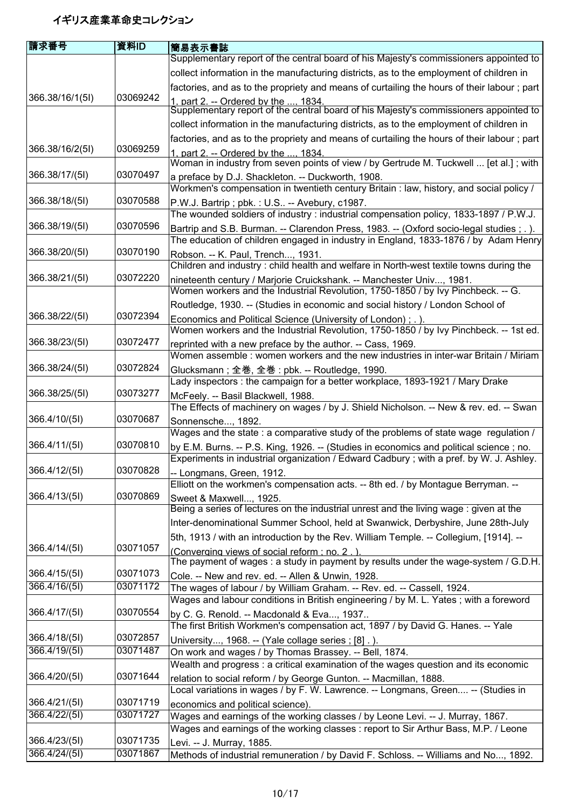| 請求番号            | 資料ID     | <b> 簡易表示書誌</b>                                                                                                                       |
|-----------------|----------|--------------------------------------------------------------------------------------------------------------------------------------|
|                 |          | Supplementary report of the central board of his Majesty's commissioners appointed to                                                |
|                 |          | collect information in the manufacturing districts, as to the employment of children in                                              |
|                 |          | factories, and as to the propriety and means of curtailing the hours of their labour; part                                           |
| 366.38/16/1(5I) | 03069242 |                                                                                                                                      |
|                 |          | 1. part 2. -- Ordered by the  1834.<br>Supplementary report of the central board of his Majesty's commissioners appointed to         |
|                 |          | collect information in the manufacturing districts, as to the employment of children in                                              |
|                 |          | factories, and as to the propriety and means of curtailing the hours of their labour; part                                           |
| 366.38/16/2(51) | 03069259 | 1. part 2. -- Ordered by the  1834.                                                                                                  |
|                 |          | Woman in industry from seven points of view / by Gertrude M. Tuckwell  [et al.]; with                                                |
| 366.38/17/(5I)  | 03070497 | a preface by D.J. Shackleton. -- Duckworth, 1908.                                                                                    |
| 366.38/18/(5I)  | 03070588 | Workmen's compensation in twentieth century Britain : law, history, and social policy /                                              |
|                 |          | P.W.J. Bartrip; pbk.: U.S -- Avebury, c1987.<br>The wounded soldiers of industry: industrial compensation policy, 1833-1897 / P.W.J. |
| 366.38/19/(5I)  | 03070596 | Bartrip and S.B. Burman. -- Clarendon Press, 1983. -- (Oxford socio-legal studies ; . ).                                             |
|                 |          | The education of children engaged in industry in England, 1833-1876 / by Adam Henry                                                  |
| 366.38/20/(51)  | 03070190 | Robson. -- K. Paul, Trench, 1931.                                                                                                    |
|                 |          | Children and industry: child health and welfare in North-west textile towns during the                                               |
| 366.38/21/(5l)  | 03072220 | nineteenth century / Marjorie Cruickshank. -- Manchester Univ, 1981.                                                                 |
|                 |          | Women workers and the Industrial Revolution, 1750-1850 / by Ivy Pinchbeck. -- G.                                                     |
|                 |          | Routledge, 1930. -- (Studies in economic and social history / London School of                                                       |
| 366.38/22/(51)  | 03072394 | Economics and Political Science (University of London); .).                                                                          |
|                 |          | Women workers and the Industrial Revolution, 1750-1850 / by Ivy Pinchbeck. -- 1st ed.                                                |
| 366.38/23/(51)  | 03072477 | reprinted with a new preface by the author. -- Cass, 1969.                                                                           |
|                 |          | Women assemble : women workers and the new industries in inter-war Britain / Miriam                                                  |
| 366.38/24/(51)  | 03072824 | Glucksmann ; 全巻, 全巻 : pbk. -- Routledge, 1990.<br>Lady inspectors : the campaign for a better workplace, 1893-1921 / Mary Drake      |
| 366.38/25/(51)  | 03073277 |                                                                                                                                      |
|                 |          | McFeely. -- Basil Blackwell, 1988.<br>The Effects of machinery on wages / by J. Shield Nicholson. -- New & rev. ed. -- Swan          |
| 366.4/10/(5l)   | 03070687 | Sonnensche, 1892.                                                                                                                    |
|                 |          | Wages and the state : a comparative study of the problems of state wage regulation /                                                 |
| 366.4/11/(5l)   | 03070810 | by E.M. Burns. -- P.S. King, 1926. -- (Studies in economics and political science; no.                                               |
|                 |          | Experiments in industrial organization / Edward Cadbury; with a pref. by W. J. Ashley.                                               |
| 366.4/12/(5l)   | 03070828 | -- Longmans, Green, 1912.                                                                                                            |
|                 |          | Elliott on the workmen's compensation acts. -- 8th ed. / by Montague Berryman. --                                                    |
| 366.4/13/(5I)   | 03070869 | Sweet & Maxwell, 1925.<br>Being a series of lectures on the industrial unrest and the living wage : given at the                     |
|                 |          |                                                                                                                                      |
|                 |          | Inter-denominational Summer School, held at Swanwick, Derbyshire, June 28th-July                                                     |
| 366.4/14/(5l)   | 03071057 | 5th, 1913 / with an introduction by the Rev. William Temple. -- Collegium, [1914]. --                                                |
|                 |          | (Converging views of social reform; no. 2.)<br>The payment of wages: a study in payment by results under the wage-system / G.D.H.    |
| 366.4/15/(5I)   | 03071073 | Cole. -- New and rev. ed. -- Allen & Unwin, 1928.                                                                                    |
| 366.4/16/(5I)   | 03071172 | The wages of labour / by William Graham. -- Rev. ed. -- Cassell, 1924.                                                               |
|                 |          | Wages and labour conditions in British engineering / by M. L. Yates; with a foreword                                                 |
| 366.4/17/(5l)   | 03070554 | by C. G. Renold. -- Macdonald & Eva, 1937                                                                                            |
|                 |          | The first British Workmen's compensation act, 1897 / by David G. Hanes. -- Yale                                                      |
| 366.4/18/(5I)   | 03072857 | University, 1968. -- (Yale collage series ; [8] .).                                                                                  |
| 366.4/19/(5I)   | 03071487 | On work and wages / by Thomas Brassey. -- Bell, 1874.                                                                                |
|                 | 03071644 | Wealth and progress : a critical examination of the wages question and its economic                                                  |
| 366.4/20/(5l)   |          | relation to social reform / by George Gunton. -- Macmillan, 1888.                                                                    |
| 366.4/21/(5l)   | 03071719 | Local variations in wages / by F. W. Lawrence. -- Longmans, Green -- (Studies in                                                     |
| 366.4/22/(5I)   | 03071727 | economics and political science).<br>Wages and earnings of the working classes / by Leone Levi. -- J. Murray, 1867.                  |
|                 |          | Wages and earnings of the working classes : report to Sir Arthur Bass, M.P. / Leone                                                  |
| 366.4/23/(5I)   | 03071735 | Levi. -- J. Murray, 1885.                                                                                                            |
| 366.4/24/(51)   | 03071867 | Methods of industrial remuneration / by David F. Schloss. -- Williams and No, 1892.                                                  |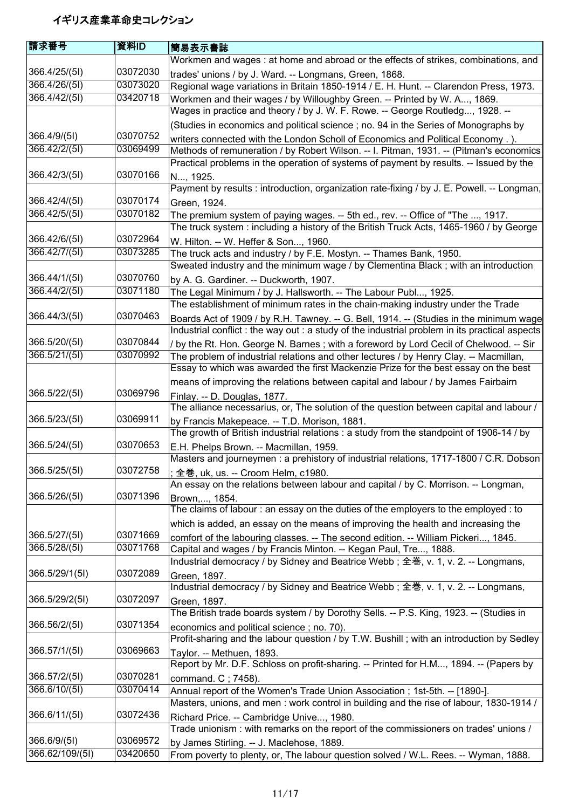| 請求番号            | 資料ID     | 簡易表示書誌                                                                                                                                                               |
|-----------------|----------|----------------------------------------------------------------------------------------------------------------------------------------------------------------------|
|                 |          | Workmen and wages: at home and abroad or the effects of strikes, combinations, and                                                                                   |
| 366.4/25/(5l)   | 03072030 | trades' unions / by J. Ward. -- Longmans, Green, 1868.                                                                                                               |
| 366.4/26/(5I)   | 03073020 | Regional wage variations in Britain 1850-1914 / E. H. Hunt. -- Clarendon Press, 1973.                                                                                |
| 366.4/42/(5I)   | 03420718 | Workmen and their wages / by Willoughby Green. -- Printed by W. A, 1869.                                                                                             |
|                 |          | Wages in practice and theory / by J. W. F. Rowe. -- George Routledg, 1928. --                                                                                        |
|                 |          | (Studies in economics and political science ; no. 94 in the Series of Monographs by                                                                                  |
| 366.4/9/(5l)    | 03070752 | writers connected with the London Scholl of Economics and Political Economy.).                                                                                       |
| 366.42/2/(5I)   | 03069499 | Methods of remuneration / by Robert Wilson. -- I. Pitman, 1931. -- (Pitman's economics                                                                               |
|                 |          | Practical problems in the operation of systems of payment by results. -- Issued by the                                                                               |
| 366.42/3/(51)   | 03070166 | N, 1925.                                                                                                                                                             |
|                 |          | Payment by results : introduction, organization rate-fixing / by J. E. Powell. -- Longman,                                                                           |
| 366.42/4/(5l)   | 03070174 | Green, 1924.                                                                                                                                                         |
| 366.42/5/(5I)   | 03070182 | The premium system of paying wages. -- 5th ed., rev. -- Office of "The , 1917.                                                                                       |
|                 |          | The truck system : including a history of the British Truck Acts, 1465-1960 / by George                                                                              |
| 366.42/6/(5l)   | 03072964 | W. Hilton. -- W. Heffer & Son, 1960.                                                                                                                                 |
| 366.42/7/(5I)   | 03073285 | The truck acts and industry / by F.E. Mostyn. -- Thames Bank, 1950.                                                                                                  |
|                 |          | Sweated industry and the minimum wage / by Clementina Black ; with an introduction                                                                                   |
| 366.44/1/(5l)   | 03070760 | by A. G. Gardiner. -- Duckworth, 1907.                                                                                                                               |
| 366.44/2/(5I)   | 03071180 | The Legal Minimum / by J. Hallsworth. -- The Labour Publ, 1925.                                                                                                      |
|                 |          | The establishment of minimum rates in the chain-making industry under the Trade                                                                                      |
| 366.44/3/(51)   | 03070463 | Boards Act of 1909 / by R.H. Tawney. -- G. Bell, 1914. -- (Studies in the minimum wage                                                                               |
|                 |          | Industrial conflict : the way out : a study of the industrial problem in its practical aspects                                                                       |
| 366.5/20/(5I)   | 03070844 | / by the Rt. Hon. George N. Barnes; with a foreword by Lord Cecil of Chelwood. -- Sir                                                                                |
| 366.5/21/(5I)   | 03070992 | The problem of industrial relations and other lectures / by Henry Clay. -- Macmillan,                                                                                |
|                 |          | Essay to which was awarded the first Mackenzie Prize for the best essay on the best                                                                                  |
|                 |          | means of improving the relations between capital and labour / by James Fairbairn                                                                                     |
| 366.5/22/(5l)   | 03069796 | Finlay. -- D. Douglas, 1877.                                                                                                                                         |
|                 |          | The alliance necessarius, or, The solution of the question between capital and labour /                                                                              |
| 366.5/23/(5I)   | 03069911 | by Francis Makepeace. -- T.D. Morison, 1881.                                                                                                                         |
|                 |          | The growth of British industrial relations: a study from the standpoint of 1906-14 / by                                                                              |
| 366.5/24/(5l)   | 03070653 | E.H. Phelps Brown. -- Macmillan, 1959.                                                                                                                               |
|                 |          | Masters and journeymen : a prehistory of industrial relations, 1717-1800 / C.R. Dobson                                                                               |
| 366.5/25/(5I)   | 03072758 | ; 全巻, uk, us. -- Croom Helm, c1980.                                                                                                                                  |
|                 |          | An essay on the relations between labour and capital / by C. Morrison. -- Longman,                                                                                   |
| 366.5/26/(5I)   | 03071396 | Brown,, 1854.                                                                                                                                                        |
|                 |          | The claims of labour: an essay on the duties of the employers to the employed: to                                                                                    |
|                 |          | which is added, an essay on the means of improving the health and increasing the                                                                                     |
| 366.5/27/(5I)   | 03071669 | comfort of the labouring classes. -- The second edition. -- William Pickeri, 1845.                                                                                   |
| 366.5/28/(51)   | 03071768 | Capital and wages / by Francis Minton. -- Kegan Paul, Tre, 1888.                                                                                                     |
|                 |          | Industrial democracy / by Sidney and Beatrice Webb; 全巻, v. 1, v. 2. -- Longmans,                                                                                     |
| 366.5/29/1(5I)  | 03072089 | Green, 1897.                                                                                                                                                         |
|                 | 03072097 | Industrial democracy / by Sidney and Beatrice Webb; 全巻, v. 1, v. 2. -- Longmans,                                                                                     |
| 366.5/29/2(51)  |          | Green, 1897.                                                                                                                                                         |
| 366.56/2/(51)   | 03071354 | The British trade boards system / by Dorothy Sells. -- P.S. King, 1923. -- (Studies in                                                                               |
|                 |          | economics and political science; no. 70).<br>Profit-sharing and the labour question / by T.W. Bushill ; with an introduction by Sedley                               |
| 366.57/1/(5)    | 03069663 |                                                                                                                                                                      |
|                 |          | Taylor. -- Methuen, 1893.<br>Report by Mr. D.F. Schloss on profit-sharing. -- Printed for H.M, 1894. -- (Papers by                                                   |
| 366.57/2/(5I)   | 03070281 |                                                                                                                                                                      |
| 366.6/10/(5I)   | 03070414 | command. C; 7458).                                                                                                                                                   |
|                 |          | Annual report of the Women's Trade Union Association; 1st-5th. -- [1890-].<br>Masters, unions, and men: work control in building and the rise of labour, 1830-1914 / |
| 366.6/11/(5l)   | 03072436 |                                                                                                                                                                      |
|                 |          | Richard Price. -- Cambridge Unive, 1980.<br>Trade unionism: with remarks on the report of the commissioners on trades' unions /                                      |
| 366.6/9/(51)    | 03069572 |                                                                                                                                                                      |
| 366.62/109/(51) | 03420650 | by James Stirling. -- J. Maclehose, 1889.<br>From poverty to plenty, or, The labour question solved / W.L. Rees. -- Wyman, 1888.                                     |
|                 |          |                                                                                                                                                                      |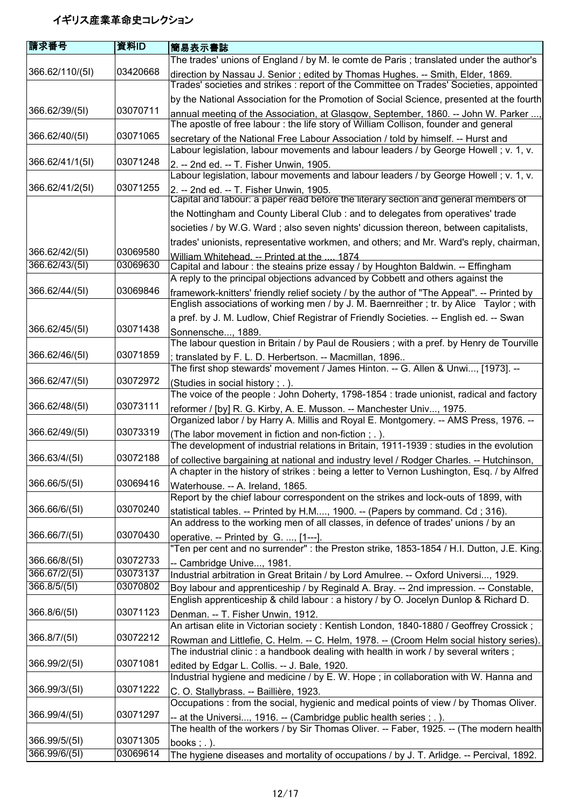| 請求番号            | 資料ID     | <b> 簡易表示書誌</b>                                                                                                                                                                       |
|-----------------|----------|--------------------------------------------------------------------------------------------------------------------------------------------------------------------------------------|
|                 |          | The trades' unions of England / by M. le comte de Paris ; translated under the author's                                                                                              |
| 366.62/110/(5I) | 03420668 | direction by Nassau J. Senior; edited by Thomas Hughes. -- Smith, Elder, 1869.<br>Trades' societies and strikes : report of the Committee on Trades' Societies, appointed            |
|                 |          | by the National Association for the Promotion of Social Science, presented at the fourth                                                                                             |
| 366.62/39/(51)  | 03070711 | annual meeting of the Association, at Glasgow, September, 1860. -- John W. Parker ,<br>The apostle of free labour: the life story of William Collison, founder and general           |
| 366.62/40/(5I)  | 03071065 | secretary of the National Free Labour Association / told by himself. -- Hurst and<br>Labour legislation, labour movements and labour leaders / by George Howell; v. 1, v.            |
| 366.62/41/1(5I) | 03071248 | 2. -- 2nd ed. -- T. Fisher Unwin, 1905.                                                                                                                                              |
|                 |          | Labour legislation, labour movements and labour leaders / by George Howell; v. 1, v.                                                                                                 |
| 366.62/41/2(5I) | 03071255 | 2. -- 2nd ed. -- T. Fisher Unwin, 1905.<br>Capital and labour: a paper read before the literary section and general members of                                                       |
|                 |          | the Nottingham and County Liberal Club : and to delegates from operatives' trade                                                                                                     |
|                 |          | societies / by W.G. Ward ; also seven nights' dicussion thereon, between capitalists,                                                                                                |
|                 |          | trades' unionists, representative workmen, and others; and Mr. Ward's reply, chairman,                                                                                               |
| 366.62/42/(51)  | 03069580 | William Whitehead. -- Printed at the  1874                                                                                                                                           |
| 366.62/43/(5I)  | 03069630 | Capital and labour: the steains prize essay / by Houghton Baldwin. -- Effingham<br>A reply to the principal objections advanced by Cobbett and others against the                    |
| 366.62/44/(5I)  | 03069846 | framework-knitters' friendly relief society / by the author of "The Appeal". -- Printed by<br>English associations of working men / by J. M. Baernreither; tr. by Alice Taylor; with |
|                 |          | a pref. by J. M. Ludlow, Chief Registrar of Friendly Societies. -- English ed. -- Swan                                                                                               |
| 366.62/45/(5I)  | 03071438 | Sonnensche, 1889.                                                                                                                                                                    |
|                 |          | The labour question in Britain / by Paul de Rousiers ; with a pref. by Henry de Tourville                                                                                            |
| 366.62/46/(5I)  | 03071859 | translated by F. L. D. Herbertson. -- Macmillan, 1896                                                                                                                                |
|                 |          | The first shop stewards' movement / James Hinton. -- G. Allen & Unwi, [1973]. --                                                                                                     |
| 366.62/47/(5I)  | 03072972 | (Studies in social history; .).                                                                                                                                                      |
| 366.62/48/(5I)  | 03073111 | The voice of the people: John Doherty, 1798-1854: trade unionist, radical and factory                                                                                                |
|                 |          | reformer / [by] R. G. Kirby, A. E. Musson. -- Manchester Univ, 1975.<br>Organized labor / by Harry A. Millis and Royal E. Montgomery. -- AMS Press, 1976. --                         |
| 366.62/49/(51)  | 03073319 |                                                                                                                                                                                      |
|                 |          | (The labor movement in fiction and non-fiction; .).<br>The development of industrial relations in Britain, 1911-1939 : studies in the evolution                                      |
| 366.63/4/(5I)   | 03072188 | of collective bargaining at national and industry level / Rodger Charles. -- Hutchinson,                                                                                             |
|                 |          | A chapter in the history of strikes : being a letter to Vernon Lushington, Esq. / by Alfred                                                                                          |
| 366.66/5/(5I)   | 03069416 | Waterhouse. -- A. Ireland, 1865.                                                                                                                                                     |
|                 |          | Report by the chief labour correspondent on the strikes and lock-outs of 1899, with                                                                                                  |
| 366.66/6/(51)   | 03070240 | statistical tables. -- Printed by H.M, 1900. -- (Papers by command. Cd; 316).                                                                                                        |
|                 |          | An address to the working men of all classes, in defence of trades' unions / by an                                                                                                   |
| 366.66/7/(5I)   | 03070430 | operative. -- Printed by G. , [1---].<br>"Ten per cent and no surrender" : the Preston strike, 1853-1854 / H.I. Dutton, J.E. King.                                                   |
| 366.66/8/(5I)   | 03072733 | -- Cambridge Unive, 1981.                                                                                                                                                            |
| 366.67/2/(5I)   | 03073137 | Industrial arbitration in Great Britain / by Lord Amulree. -- Oxford Universi, 1929.                                                                                                 |
| 366.8/5/(51)    | 03070802 | Boy labour and apprenticeship / by Reginald A. Bray. -- 2nd impression. -- Constable,                                                                                                |
|                 |          | English apprenticeship & child labour : a history / by O. Jocelyn Dunlop & Richard D.                                                                                                |
| 366.8/6/(5I)    | 03071123 | Denman. -- T. Fisher Unwin, 1912.                                                                                                                                                    |
| 366.8/7/(5I)    | 03072212 | An artisan elite in Victorian society : Kentish London, 1840-1880 / Geoffrey Crossick;                                                                                               |
|                 |          | Rowman and Littlefie, C. Helm. -- C. Helm, 1978. -- (Croom Helm social history series).<br>The industrial clinic: a handbook dealing with health in work / by several writers;       |
| 366.99/2/(5I)   | 03071081 | edited by Edgar L. Collis. -- J. Bale, 1920.                                                                                                                                         |
|                 |          | Industrial hygiene and medicine / by E. W. Hope; in collaboration with W. Hanna and                                                                                                  |
| 366.99/3/(5I)   | 03071222 | C. O. Stallybrass. -- Baillière, 1923.                                                                                                                                               |
|                 |          | Occupations: from the social, hygienic and medical points of view / by Thomas Oliver.                                                                                                |
| 366.99/4/(5I)   | 03071297 | -- at the Universi, 1916. -- (Cambridge public health series ; . ).                                                                                                                  |
|                 |          | The health of the workers / by Sir Thomas Oliver. -- Faber, 1925. -- (The modern health                                                                                              |
| 366.99/5/(5I)   | 03071305 | books; $.$ ).                                                                                                                                                                        |
| 366.99/6/(5I)   | 03069614 | The hygiene diseases and mortality of occupations / by J. T. Arlidge. -- Percival, 1892.                                                                                             |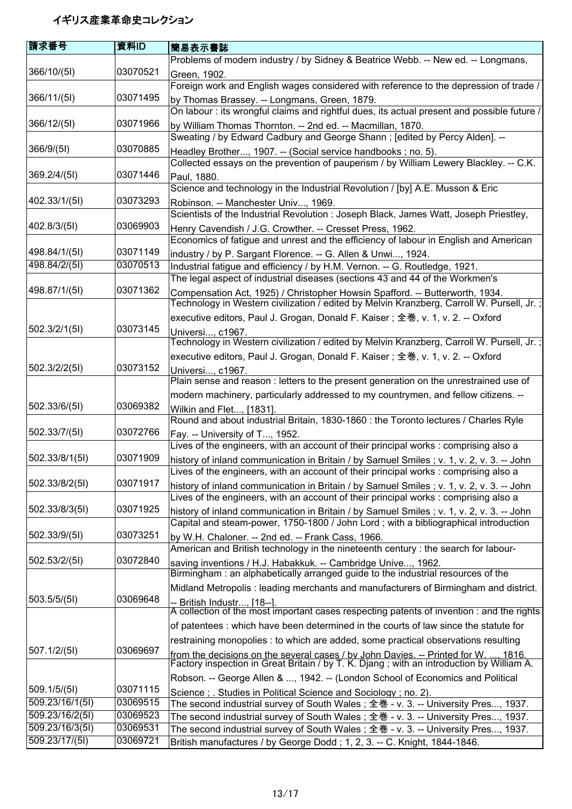| Problems of modern industry / by Sidney & Beatrice Webb. -- New ed. -- Longmans,                                                                                                  |
|-----------------------------------------------------------------------------------------------------------------------------------------------------------------------------------|
|                                                                                                                                                                                   |
| Foreign work and English wages considered with reference to the depression of trade /                                                                                             |
|                                                                                                                                                                                   |
| On labour: its wrongful claims and rightful dues, its actual present and possible future /                                                                                        |
| by William Thomas Thornton. -- 2nd ed. -- Macmillan, 1870.                                                                                                                        |
| Sweating / by Edward Cadbury and George Shann; [edited by Percy Alden]. --                                                                                                        |
| Headley Brother, 1907. -- (Social service handbooks; no. 5).                                                                                                                      |
| Collected essays on the prevention of pauperism / by William Lewery Blackley. -- C.K.                                                                                             |
|                                                                                                                                                                                   |
| Science and technology in the Industrial Revolution / [by] A.E. Musson & Eric                                                                                                     |
| Scientists of the Industrial Revolution: Joseph Black, James Watt, Joseph Priestley,                                                                                              |
|                                                                                                                                                                                   |
| Henry Cavendish / J.G. Crowther. -- Cresset Press, 1962.<br>Economics of fatigue and unrest and the efficiency of labour in English and American                                  |
|                                                                                                                                                                                   |
| industry / by P. Sargant Florence. -- G. Allen & Unwi, 1924.<br>Industrial fatigue and efficiency / by H.M. Vernon. -- G. Routledge, 1921.                                        |
| The legal aspect of industrial diseases (sections 43 and 44 of the Workmen's                                                                                                      |
| Compensation Act, 1925) / Christopher Howsin Spafford. -- Butterworth, 1934.                                                                                                      |
| Technology in Western civilization / edited by Melvin Kranzberg, Carroll W. Pursell, Jr.;                                                                                         |
| executive editors, Paul J. Grogan, Donald F. Kaiser; 全巻, v. 1, v. 2. -- Oxford                                                                                                    |
|                                                                                                                                                                                   |
| Technology in Western civilization / edited by Melvin Kranzberg, Carroll W. Pursell, Jr.;                                                                                         |
| executive editors, Paul J. Grogan, Donald F. Kaiser; 全巻, v. 1, v. 2. -- Oxford                                                                                                    |
|                                                                                                                                                                                   |
| Plain sense and reason : letters to the present generation on the unrestrained use of                                                                                             |
| modern machinery, particularly addressed to my countrymen, and fellow citizens. --                                                                                                |
|                                                                                                                                                                                   |
| Round and about industrial Britain, 1830-1860 : the Toronto lectures / Charles Ryle                                                                                               |
|                                                                                                                                                                                   |
| Lives of the engineers, with an account of their principal works : comprising also a                                                                                              |
| history of inland communication in Britain / by Samuel Smiles ; v. 1, v. 2, v. 3. -- John<br>Lives of the engineers, with an account of their principal works : comprising also a |
|                                                                                                                                                                                   |
| history of inland communication in Britain / by Samuel Smiles; v. 1, v. 2, v. 3. -- John<br>Lives of the engineers, with an account of their principal works : comprising also a  |
| history of inland communication in Britain / by Samuel Smiles; v. 1, v. 2, v. 3. -- John                                                                                          |
| Capital and steam-power, 1750-1800 / John Lord; with a bibliographical introduction                                                                                               |
| by W.H. Chaloner. -- 2nd ed. -- Frank Cass, 1966.                                                                                                                                 |
| American and British technology in the nineteenth century : the search for labour-                                                                                                |
| saving inventions / H.J. Habakkuk. -- Cambridge Unive, 1962.                                                                                                                      |
| Birmingham: an alphabetically arranged guide to the industrial resources of the                                                                                                   |
| Midland Metropolis: leading merchants and manufacturers of Birmingham and district.                                                                                               |
|                                                                                                                                                                                   |
| A collection of the most important cases respecting patents of invention : and the rights                                                                                         |
| of patentees : which have been determined in the courts of law since the statute for                                                                                              |
| restraining monopolies : to which are added, some practical observations resulting                                                                                                |
| from the decisions on the several cases / by John Davies. -- Printed for W. , 1816.<br>Factory inspection in Great Britain / by T. K. Djang ; with an introduction by William A.  |
|                                                                                                                                                                                   |
| Robson. -- George Allen & , 1942. -- (London School of Economics and Political                                                                                                    |
| Science; Studies in Political Science and Sociology; no. 2).                                                                                                                      |
| The second industrial survey of South Wales; 全巻 - v. 3. -- University Pres, 1937.<br>The second industrial survey of South Wales; 全巻 - v. 3. -- University Pres, 1937.            |
| The second industrial survey of South Wales; 全巻 - v. 3. -- University Pres, 1937.                                                                                                 |
| British manufactures / by George Dodd; 1, 2, 3. -- C. Knight, 1844-1846.                                                                                                          |
| by Thomas Brassey. -- Longmans, Green, 1879.                                                                                                                                      |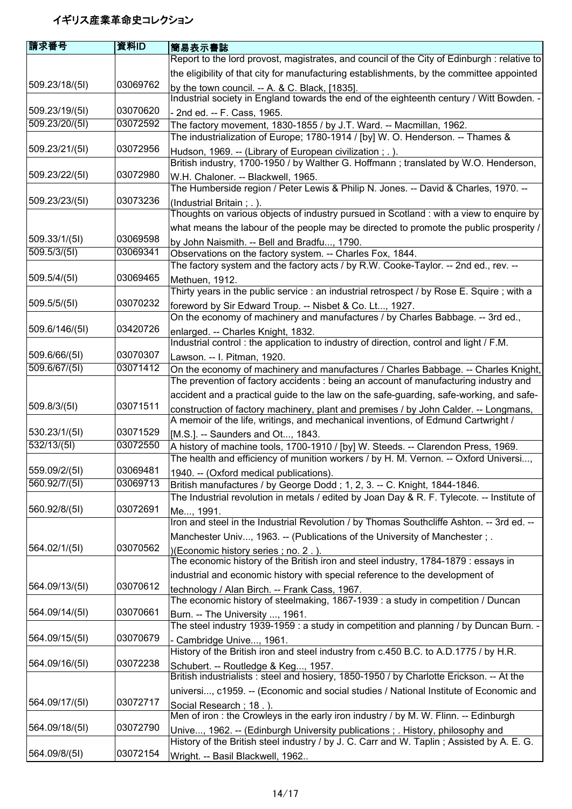| 請求番号           | 資料ID     | 簡易表示書誌                                                                                      |
|----------------|----------|---------------------------------------------------------------------------------------------|
|                |          | Report to the lord provost, magistrates, and council of the City of Edinburgh : relative to |
|                |          | the eligibility of that city for manufacturing establishments, by the committee appointed   |
| 509.23/18/(5I) | 03069762 | by the town council. $-$ A. & C. Black, [1835].                                             |
|                |          | Industrial society in England towards the end of the eighteenth century / Witt Bowden. -    |
| 509.23/19/(5l) | 03070620 | - 2nd ed. -- F. Cass, 1965.                                                                 |
| 509.23/20/(51) | 03072592 | The factory movement, 1830-1855 / by J.T. Ward. -- Macmillan, 1962.                         |
|                |          | The industrialization of Europe; 1780-1914 / [by] W. O. Henderson. -- Thames &              |
| 509.23/21/(5l) | 03072956 | Hudson, 1969. -- (Library of European civilization; .).                                     |
|                |          | British industry, 1700-1950 / by Walther G. Hoffmann; translated by W.O. Henderson,         |
| 509.23/22/(51) | 03072980 | W.H. Chaloner. -- Blackwell, 1965.                                                          |
|                |          | The Humberside region / Peter Lewis & Philip N. Jones. -- David & Charles, 1970. --         |
| 509.23/23/(51) | 03073236 | (Industrial Britain; .).                                                                    |
|                |          | Thoughts on various objects of industry pursued in Scotland : with a view to enquire by     |
|                |          | what means the labour of the people may be directed to promote the public prosperity /      |
| 509.33/1/(5l)  | 03069598 | by John Naismith. -- Bell and Bradfu, 1790.                                                 |
| 509.5/3/(51)   | 03069341 | Observations on the factory system. -- Charles Fox, 1844.                                   |
|                |          | The factory system and the factory acts / by R.W. Cooke-Taylor. -- 2nd ed., rev. --         |
| 509.5/4/(5l)   | 03069465 | Methuen, 1912.                                                                              |
|                |          | Thirty years in the public service : an industrial retrospect / by Rose E. Squire ; with a  |
| 509.5/5/(51)   | 03070232 | foreword by Sir Edward Troup. -- Nisbet & Co. Lt, 1927.                                     |
|                |          | On the economy of machinery and manufactures / by Charles Babbage. -- 3rd ed.,              |
| 509.6/146/(5I) | 03420726 | enlarged. -- Charles Knight, 1832.                                                          |
|                |          | Industrial control: the application to industry of direction, control and light / F.M.      |
| 509.6/66/(5I)  | 03070307 | Lawson. -- I. Pitman, 1920.                                                                 |
| 509.6/67/(51)  | 03071412 | On the economy of machinery and manufactures / Charles Babbage. -- Charles Knight,          |
|                |          | The prevention of factory accidents : being an account of manufacturing industry and        |
|                |          | accident and a practical guide to the law on the safe-guarding, safe-working, and safe-     |
| 509.8/3/(5l)   | 03071511 | construction of factory machinery, plant and premises / by John Calder. -- Longmans,        |
|                |          | A memoir of the life, writings, and mechanical inventions, of Edmund Cartwright /           |
| 530.23/1/(5l)  | 03071529 | [M.S.]. -- Saunders and Ot, 1843.                                                           |
| 532/13/(51)    | 03072550 | A history of machine tools, 1700-1910 / [by] W. Steeds. -- Clarendon Press, 1969.           |
|                |          | The health and efficiency of munition workers / by H. M. Vernon. -- Oxford Universi,        |
| 559.09/2/(5I)  | 03069481 | 1940. -- (Oxford medical publications).                                                     |
| 560.92/7/(5I)  | 03069713 | British manufactures / by George Dodd; 1, 2, 3. -- C. Knight, 1844-1846.                    |
|                |          | The Industrial revolution in metals / edited by Joan Day & R. F. Tylecote. -- Institute of  |
| 560.92/8/(5I)  | 03072691 | Me, 1991.                                                                                   |
|                |          | Iron and steel in the Industrial Revolution / by Thomas Southcliffe Ashton. -- 3rd ed. --   |
|                |          | Manchester Univ, 1963. -- (Publications of the University of Manchester; .                  |
| 564.02/1/(5l)  | 03070562 | )(Economic history series; no. 2.).                                                         |
|                |          | The economic history of the British iron and steel industry, 1784-1879 : essays in          |
|                |          | industrial and economic history with special reference to the development of                |
| 564.09/13/(5I) | 03070612 | technology / Alan Birch. -- Frank Cass, 1967.                                               |
|                |          | The economic history of steelmaking, 1867-1939 : a study in competition / Duncan            |
| 564.09/14/(5I) | 03070661 | Burn. -- The University , 1961.                                                             |
|                |          | The steel industry 1939-1959 : a study in competition and planning / by Duncan Burn. -      |
| 564.09/15/(5I) | 03070679 | - Cambridge Unive, 1961.                                                                    |
|                |          | History of the British iron and steel industry from c.450 B.C. to A.D.1775 / by H.R.        |
| 564.09/16/(5I) | 03072238 | Schubert. -- Routledge & Keg, 1957.                                                         |
|                |          | British industrialists : steel and hosiery, 1850-1950 / by Charlotte Erickson. -- At the    |
|                |          | universi, c1959. -- (Economic and social studies / National Institute of Economic and       |
| 564.09/17/(5I) | 03072717 | Social Research; 18.).                                                                      |
|                |          | Men of iron : the Crowleys in the early iron industry / by M. W. Flinn. -- Edinburgh        |
| 564.09/18/(5I) | 03072790 | Unive, 1962. -- (Edinburgh University publications ; . History, philosophy and              |
|                |          | History of the British steel industry / by J. C. Carr and W. Taplin; Assisted by A. E. G.   |
| 564.09/8/(5I)  | 03072154 | Wright. -- Basil Blackwell, 1962                                                            |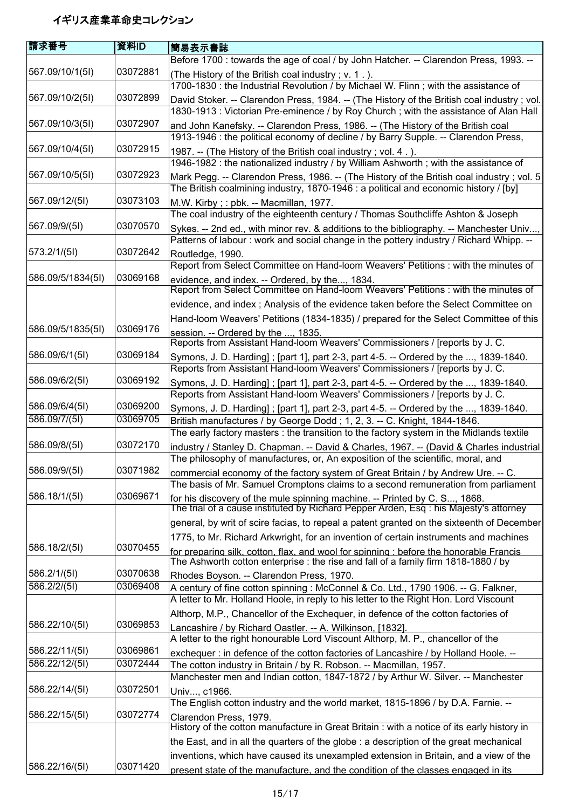| <b>請求番号</b>       | 資料ID     | <b> 簡易表示書誌</b>                                                                                                                                                                       |
|-------------------|----------|--------------------------------------------------------------------------------------------------------------------------------------------------------------------------------------|
|                   |          | Before 1700 : towards the age of coal / by John Hatcher. -- Clarendon Press, 1993. --                                                                                                |
| 567.09/10/1(5I)   | 03072881 | (The History of the British coal industry; v. 1.).<br>1700-1830 : the Industrial Revolution / by Michael W. Flinn ; with the assistance of                                           |
| 567.09/10/2(51)   | 03072899 | David Stoker. -- Clarendon Press, 1984. -- (The History of the British coal industry ; vol.<br>1830-1913 : Victorian Pre-eminence / by Roy Church ; with the assistance of Alan Hall |
| 567.09/10/3(51)   | 03072907 | and John Kanefsky. -- Clarendon Press, 1986. -- (The History of the British coal<br>1913-1946 : the political economy of decline / by Barry Supple. -- Clarendon Press,              |
| 567.09/10/4(5I)   | 03072915 | 1987. -- (The History of the British coal industry; vol. 4.).                                                                                                                        |
| 567.09/10/5(5I)   | 03072923 | 1946-1982 : the nationalized industry / by William Ashworth ; with the assistance of<br>Mark Pegg. -- Clarendon Press, 1986. -- (The History of the British coal industry ; vol. 5   |
|                   |          | The British coalmining industry, 1870-1946 : a political and economic history / [by]                                                                                                 |
| 567.09/12/(51)    | 03073103 | M.W. Kirby; : pbk. -- Macmillan, 1977.<br>The coal industry of the eighteenth century / Thomas Southcliffe Ashton & Joseph                                                           |
| 567.09/9/(51)     | 03070570 | Sykes. -- 2nd ed., with minor rev. & additions to the bibliography. -- Manchester Univ,<br>Patterns of labour: work and social change in the pottery industry / Richard Whipp. --    |
| 573.2/1/(51)      | 03072642 | Routledge, 1990.                                                                                                                                                                     |
|                   |          | Report from Select Committee on Hand-loom Weavers' Petitions : with the minutes of                                                                                                   |
| 586.09/5/1834(5I) | 03069168 | evidence, and index. -- Ordered, by the, 1834.<br>Report from Select Committee on Hand-loom Weavers' Petitions : with the minutes of                                                 |
|                   |          | evidence, and index ; Analysis of the evidence taken before the Select Committee on                                                                                                  |
|                   |          | Hand-loom Weavers' Petitions (1834-1835) / prepared for the Select Committee of this                                                                                                 |
| 586.09/5/1835(5I) | 03069176 | session. -- Ordered by the , 1835.<br>Reports from Assistant Hand-loom Weavers' Commissioners / [reports by J. C.                                                                    |
| 586.09/6/1(51)    | 03069184 | Symons, J. D. Harding]; [part 1], part 2-3, part 4-5. -- Ordered by the , 1839-1840.<br>Reports from Assistant Hand-loom Weavers' Commissioners / [reports by J. C.                  |
| 586.09/6/2(51)    | 03069192 | Symons, J. D. Harding]; [part 1], part 2-3, part 4-5. -- Ordered by the , 1839-1840.<br>Reports from Assistant Hand-loom Weavers' Commissioners / [reports by J. C.                  |
| 586.09/6/4(51)    | 03069200 | Symons, J. D. Harding]; [part 1], part 2-3, part 4-5. -- Ordered by the , 1839-1840.                                                                                                 |
| 586.09/7/(5I)     | 03069705 | British manufactures / by George Dodd; 1, 2, 3. -- C. Knight, 1844-1846.                                                                                                             |
|                   |          | The early factory masters: the transition to the factory system in the Midlands textile                                                                                              |
| 586.09/8/(51)     | 03072170 | industry / Stanley D. Chapman. -- David & Charles, 1967. -- (David & Charles industrial<br>The philosophy of manufactures, or, An exposition of the scientific, moral, and           |
| 586.09/9/(5I)     | 03071982 | commercial economy of the factory system of Great Britain / by Andrew Ure. -- C.                                                                                                     |
|                   |          | The basis of Mr. Samuel Cromptons claims to a second remuneration from parliament                                                                                                    |
| 586.18/1/(5I)     | 03069671 | for his discovery of the mule spinning machine. -- Printed by C. S, 1868.<br>The trial of a cause instituted by Richard Pepper Arden, Esq : his Majesty's attorney                   |
|                   |          | general, by writ of scire facias, to repeal a patent granted on the sixteenth of December                                                                                            |
| 586.18/2/(5I)     | 03070455 | 1775, to Mr. Richard Arkwright, for an invention of certain instruments and machines                                                                                                 |
|                   |          | for preparing silk, cotton, flax, and wool for spinning : before the honorable Francis<br>The Ashworth cotton enterprise : the rise and fall of a family firm 1818-1880 / by         |
| 586.2/1/(5l)      | 03070638 | Rhodes Boyson. -- Clarendon Press, 1970.                                                                                                                                             |
| 586.2/2/(51)      | 03069408 | A century of fine cotton spinning : McConnel & Co. Ltd., 1790 1906. -- G. Falkner,                                                                                                   |
|                   |          | A letter to Mr. Holland Hoole, in reply to his letter to the Right Hon. Lord Viscount                                                                                                |
| 586.22/10/(5I)    | 03069853 | Althorp, M.P., Chancellor of the Exchequer, in defence of the cotton factories of                                                                                                    |
|                   |          | Lancashire / by Richard Oastler. -- A. Wilkinson, [1832].<br>A letter to the right honourable Lord Viscount Althorp, M. P., chancellor of the                                        |
| 586.22/11/(5l)    | 03069861 | exchequer : in defence of the cotton factories of Lancashire / by Holland Hoole. --                                                                                                  |
| 586.22/12/(5I)    | 03072444 | The cotton industry in Britain / by R. Robson. -- Macmillan, 1957.                                                                                                                   |
|                   |          | Manchester men and Indian cotton, 1847-1872 / by Arthur W. Silver. -- Manchester                                                                                                     |
| 586.22/14/(5I)    | 03072501 | Univ, c1966.<br>The English cotton industry and the world market, 1815-1896 / by D.A. Farnie. --                                                                                     |
| 586.22/15/(5I)    | 03072774 | Clarendon Press, 1979.                                                                                                                                                               |
|                   |          | History of the cotton manufacture in Great Britain : with a notice of its early history in                                                                                           |
|                   |          | the East, and in all the quarters of the globe : a description of the great mechanical                                                                                               |
| 586.22/16/(5I)    | 03071420 | inventions, which have caused its unexampled extension in Britain, and a view of the                                                                                                 |
|                   |          | present state of the manufacture, and the condition of the classes engaged in its                                                                                                    |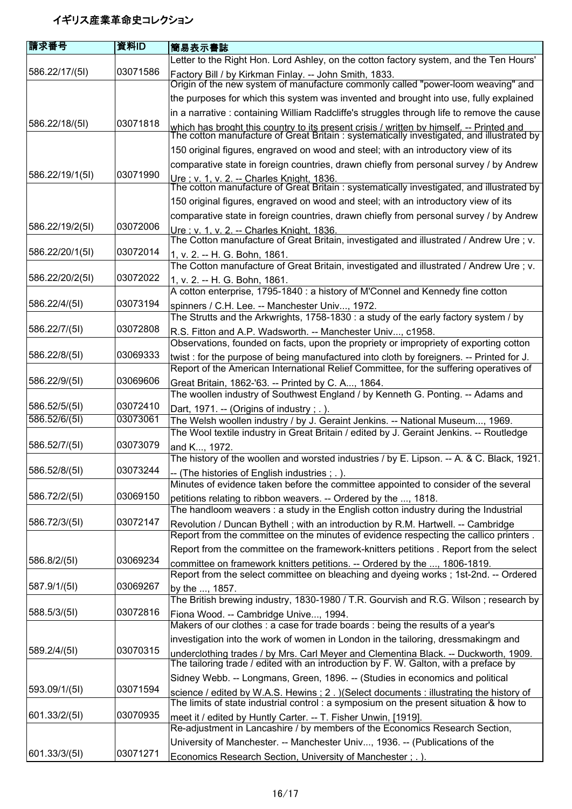| 請求番号                           | 資料ID                 | 簡易表示書誌                                                                                                                                                                                |
|--------------------------------|----------------------|---------------------------------------------------------------------------------------------------------------------------------------------------------------------------------------|
|                                |                      | Letter to the Right Hon. Lord Ashley, on the cotton factory system, and the Ten Hours'                                                                                                |
| 586.22/17/(51)                 | 03071586             | Factory Bill / by Kirkman Finlay. -- John Smith, 1833.<br>Origin of the new system of manufacture commonly called "power-loom weaving" and                                            |
|                                |                      | the purposes for which this system was invented and brought into use, fully explained                                                                                                 |
|                                |                      | in a narrative : containing William Radcliffe's struggles through life to remove the cause                                                                                            |
| 586.22/18/(5I)                 | 03071818             |                                                                                                                                                                                       |
|                                |                      | which has broght this country to its present crisis / written by himself. -- Printed and<br>The cotton manufacture of Great Britain : systematically investigated, and illustrated by |
|                                |                      | 150 original figures, engraved on wood and steel; with an introductory view of its                                                                                                    |
| 586.22/19/1(5I)                | 03071990             | comparative state in foreign countries, drawn chiefly from personal survey / by Andrew                                                                                                |
|                                |                      | Ure ; v. 1, v. 2. -- Charles Knight, 1836.<br>The cotton manufacture of Great Britain : systematically investigated, and illustrated by                                               |
|                                |                      | 150 original figures, engraved on wood and steel; with an introductory view of its                                                                                                    |
|                                |                      | comparative state in foreign countries, drawn chiefly from personal survey / by Andrew                                                                                                |
| 586.22/19/2(51)                | 03072006             | Ure ; v. 1, v. 2. -- Charles Knight, 1836.<br>The Cotton manufacture of Great Britain, investigated and illustrated / Andrew Ure ; v.                                                 |
| 586.22/20/1(5I)                | 03072014             | 1, v. 2. -- H. G. Bohn, 1861.                                                                                                                                                         |
|                                |                      | The Cotton manufacture of Great Britain, investigated and illustrated / Andrew Ure; v.                                                                                                |
| 586.22/20/2(51)                | 03072022             | 1, v. 2. -- H. G. Bohn, 1861.                                                                                                                                                         |
|                                |                      | A cotton enterprise, 1795-1840 : a history of M'Connel and Kennedy fine cotton                                                                                                        |
| 586.22/4/(5I)                  | 03073194             | spinners / C.H. Lee. -- Manchester Univ, 1972.                                                                                                                                        |
|                                |                      | The Strutts and the Arkwrights, 1758-1830 : a study of the early factory system / by                                                                                                  |
| 586.22/7/(5I)                  | 03072808             | R.S. Fitton and A.P. Wadsworth. -- Manchester Univ, c1958.                                                                                                                            |
|                                |                      | Observations, founded on facts, upon the propriety or impropriety of exporting cotton                                                                                                 |
| 586.22/8/(5I)                  | 03069333             | twist : for the purpose of being manufactured into cloth by foreigners. -- Printed for J.                                                                                             |
|                                |                      | Report of the American International Relief Committee, for the suffering operatives of                                                                                                |
| 586.22/9/(5I)                  | 03069606             | Great Britain, 1862-'63. -- Printed by C. A, 1864.                                                                                                                                    |
|                                |                      | The woollen industry of Southwest England / by Kenneth G. Ponting. -- Adams and                                                                                                       |
| 586.52/5/(5I)<br>586.52/6/(5I) | 03072410<br>03073061 | Dart, 1971. -- (Origins of industry; .).                                                                                                                                              |
|                                |                      | The Welsh woollen industry / by J. Geraint Jenkins. -- National Museum, 1969.<br>The Wool textile industry in Great Britain / edited by J. Geraint Jenkins. -- Routledge              |
| 586.52/7/(5I)                  | 03073079             | and K, 1972.                                                                                                                                                                          |
|                                |                      | The history of the woollen and worsted industries / by E. Lipson. -- A. & C. Black, 1921.                                                                                             |
| 586.52/8/(5I)                  | 03073244             | -- (The histories of English industries; .).                                                                                                                                          |
|                                |                      | Minutes of evidence taken before the committee appointed to consider of the several                                                                                                   |
| 586.72/2/(5l)                  | 03069150             | petitions relating to ribbon weavers. -- Ordered by the , 1818.                                                                                                                       |
|                                |                      | The handloom weavers : a study in the English cotton industry during the Industrial                                                                                                   |
| 586.72/3/(5I)                  | 03072147             | Revolution / Duncan Bythell; with an introduction by R.M. Hartwell. -- Cambridge                                                                                                      |
|                                |                      | Report from the committee on the minutes of evidence respecting the callico printers.                                                                                                 |
|                                |                      | Report from the committee on the framework-knitters petitions . Report from the select                                                                                                |
| 586.8/2/(5I)                   | 03069234             | committee on framework knitters petitions. -- Ordered by the , 1806-1819.                                                                                                             |
|                                |                      | Report from the select committee on bleaching and dyeing works; 1st-2nd. -- Ordered                                                                                                   |
| 587.9/1/(5l)                   | 03069267             | by the , 1857.                                                                                                                                                                        |
| 588.5/3/(5l)                   | 03072816             | The British brewing industry, 1830-1980 / T.R. Gourvish and R.G. Wilson; research by                                                                                                  |
|                                |                      | Fiona Wood. -- Cambridge Unive, 1994.<br>Makers of our clothes : a case for trade boards : being the results of a year's                                                              |
|                                |                      |                                                                                                                                                                                       |
| 589.2/4/(5l)                   | 03070315             | investigation into the work of women in London in the tailoring, dressmakingm and                                                                                                     |
|                                |                      | underclothing trades / by Mrs. Carl Meyer and Clementina Black. -- Duckworth, 1909.<br>The tailoring trade / edited with an introduction by F. W. Galton, with a preface by           |
| 593.09/1/(5l)                  | 03071594             | Sidney Webb. -- Longmans, Green, 1896. -- (Studies in economics and political                                                                                                         |
|                                |                      | science / edited by W.A.S. Hewins ; 2. ) (Select documents : illustrating the history of<br>The limits of state industrial control : a symposium on the present situation & how to    |
| 601.33/2/(5l)                  | 03070935             | meet it / edited by Huntly Carter. -- T. Fisher Unwin, [1919].                                                                                                                        |
|                                |                      | Re-adjustment in Lancashire / by members of the Economics Research Section,                                                                                                           |
|                                |                      | University of Manchester. -- Manchester Univ, 1936. -- (Publications of the                                                                                                           |
| 601.33/3/(5I)                  | 03071271             | Economics Research Section, University of Manchester ; . ).                                                                                                                           |